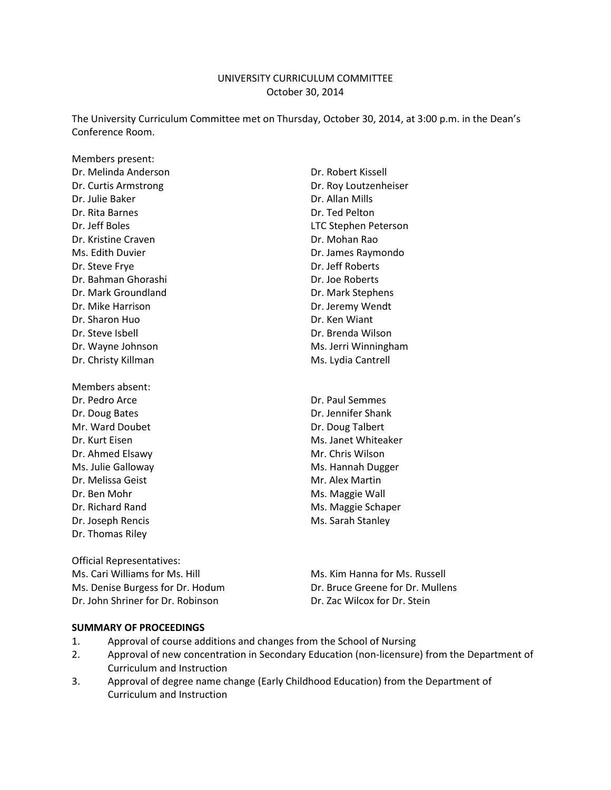#### UNIVERSITY CURRICULUM COMMITTEE October 30, 2014

The University Curriculum Committee met on Thursday, October 30, 2014, at 3:00 p.m. in the Dean's Conference Room.

Members present: Dr. Melinda Anderson Dr. Robert Kissell Dr. Curtis Armstrong **Dr. Curtis Armstrong** Dr. Julie Baker Dr. Allan Mills Dr. Rita Barnes **Dr. Ted Pelton** Dr. Jeff Boles LTC Stephen Peterson Dr. Kristine Craven Dr. Mohan Rao Ms. Edith Duvier **Dr. James Raymondo** Dr. Steve Frye **Dr. Steve Frye** Dr. Jeff Roberts Dr. Bahman Ghorashi Dr. Joe Roberts Dr. Mark Groundland Dr. Mark Stephens Dr. Mike Harrison **Dr. Jeremy Wendt** Dr. Sharon Huo **Dr. Sharon Huo** Dr. Ken Wiant Dr. Steve Isbell Dr. Brenda Wilson Dr. Wayne Johnson Ms. Jerri Winningham Dr. Christy Killman Ms. Lydia Cantrell Members absent:

Dr. Pedro Arce **Dr. Paul Semmes** Dr. Doug Bates Dr. Jennifer Shank Mr. Ward Doubet Dr. Doug Talbert Dr. Ahmed Elsawy Mr. Chris Wilson Ms. Julie Galloway Ms. Hannah Dugger Dr. Melissa Geist **Mr. Alex Martin** Dr. Ben Mohr Maggie Wall Dr. Joseph Rencis **Ms. Sarah Stanley** Ms. Sarah Stanley Dr. Thomas Riley

Official Representatives: Ms. Cari Williams for Ms. Hill Ms. Kim Hanna for Ms. Russell Ms. Denise Burgess for Dr. Hodum Dr. Bruce Greene for Dr. Mullens Dr. John Shriner for Dr. Robinson Dr. Zac Wilcox for Dr. Stein

Dr. Kurt Eisen Ms. Janet Whiteaker Dr. Richard Rand Ms. Maggie Schaper

#### **SUMMARY OF PROCEEDINGS**

- 1. Approval of course additions and changes from the School of Nursing
- 2. Approval of new concentration in Secondary Education (non-licensure) from the Department of Curriculum and Instruction
- 3. Approval of degree name change (Early Childhood Education) from the Department of Curriculum and Instruction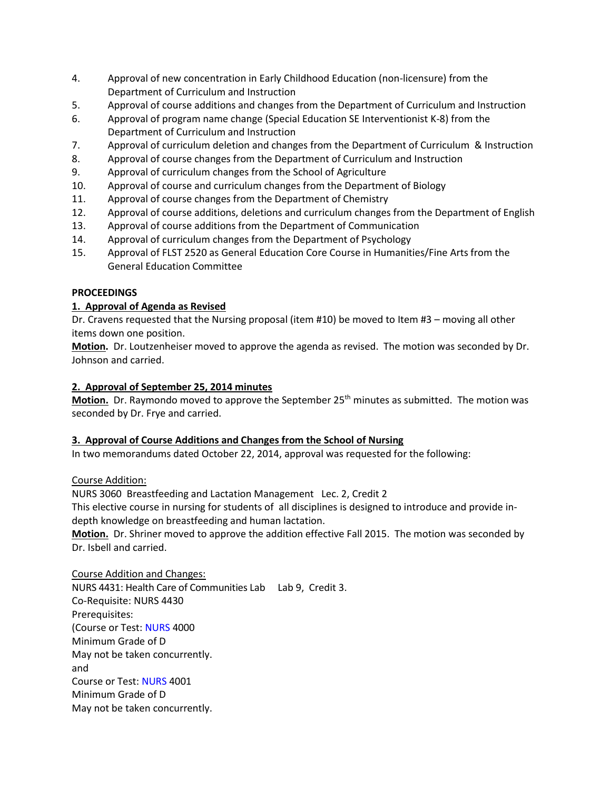- 4. Approval of new concentration in Early Childhood Education (non-licensure) from the Department of Curriculum and Instruction
- 5. Approval of course additions and changes from the Department of Curriculum and Instruction
- 6. Approval of program name change (Special Education SE Interventionist K-8) from the Department of Curriculum and Instruction
- 7. Approval of curriculum deletion and changes from the Department of Curriculum & Instruction
- 8. Approval of course changes from the Department of Curriculum and Instruction
- 9. Approval of curriculum changes from the School of Agriculture
- 10. Approval of course and curriculum changes from the Department of Biology
- 11. Approval of course changes from the Department of Chemistry
- 12. Approval of course additions, deletions and curriculum changes from the Department of English
- 13. Approval of course additions from the Department of Communication
- 14. Approval of curriculum changes from the Department of Psychology
- 15. Approval of FLST 2520 as General Education Core Course in Humanities/Fine Arts from the General Education Committee

## **PROCEEDINGS**

## **1. Approval of Agenda as Revised**

Dr. Cravens requested that the Nursing proposal (item #10) be moved to Item #3 – moving all other items down one position.

**Motion.** Dr. Loutzenheiser moved to approve the agenda as revised. The motion was seconded by Dr. Johnson and carried.

## **2. Approval of September 25, 2014 minutes**

Motion. Dr. Raymondo moved to approve the September 25<sup>th</sup> minutes as submitted. The motion was seconded by Dr. Frye and carried.

## **3. Approval of Course Additions and Changes from the School of Nursing**

In two memorandums dated October 22, 2014, approval was requested for the following:

## Course Addition:

NURS 3060 Breastfeeding and Lactation Management Lec. 2, Credit 2 This elective course in nursing for students of all disciplines is designed to introduce and provide indepth knowledge on breastfeeding and human lactation.

**Motion.** Dr. Shriner moved to approve the addition effective Fall 2015. The motion was seconded by Dr. Isbell and carried.

Course Addition and Changes: NURS 4431: Health Care of Communities Lab Lab 9, Credit 3. Co-Requisite: NURS 4430 Prerequisites: (Course or Test: [NURS](https://tturedss1.tntech.edu/pls/PROD/bwckctlg.p_display_courses?term_in=201510&one_subj=NURS&sel_subj=&sel_crse_strt=4000&sel_crse_end=4000&sel_levl=&sel_schd=&sel_coll=&sel_divs=&sel_dept=&sel_attr=) 4000 Minimum Grade of D May not be taken concurrently. and Course or Test: [NURS](https://tturedss1.tntech.edu/pls/PROD/bwckctlg.p_display_courses?term_in=201510&one_subj=NURS&sel_subj=&sel_crse_strt=4001&sel_crse_end=4001&sel_levl=&sel_schd=&sel_coll=&sel_divs=&sel_dept=&sel_attr=) 4001 Minimum Grade of D May not be taken concurrently.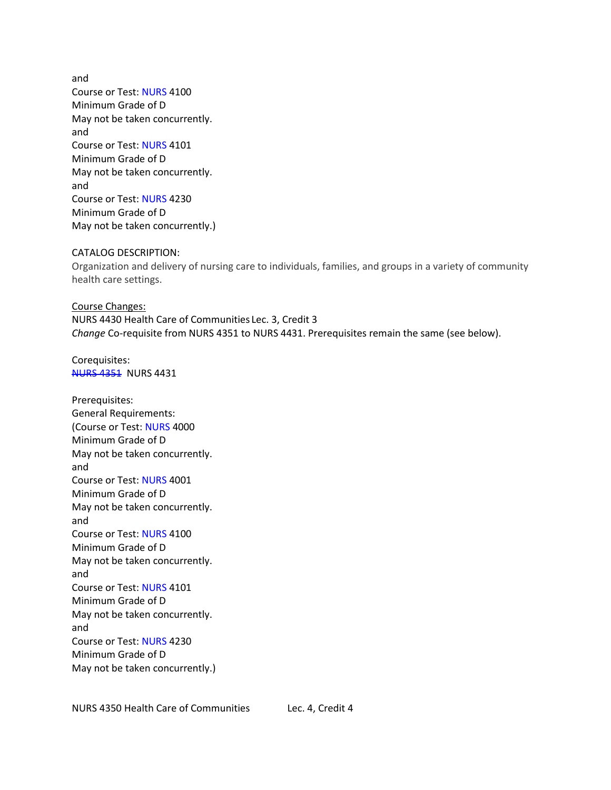and Course or Test: [NURS](https://tturedss1.tntech.edu/pls/PROD/bwckctlg.p_display_courses?term_in=201510&one_subj=NURS&sel_subj=&sel_crse_strt=4100&sel_crse_end=4100&sel_levl=&sel_schd=&sel_coll=&sel_divs=&sel_dept=&sel_attr=) 4100 Minimum Grade of D May not be taken concurrently. and Course or Test: [NURS](https://tturedss1.tntech.edu/pls/PROD/bwckctlg.p_display_courses?term_in=201510&one_subj=NURS&sel_subj=&sel_crse_strt=4101&sel_crse_end=4101&sel_levl=&sel_schd=&sel_coll=&sel_divs=&sel_dept=&sel_attr=) 4101 Minimum Grade of D May not be taken concurrently. and Course or Test: [NURS](https://tturedss1.tntech.edu/pls/PROD/bwckctlg.p_display_courses?term_in=201510&one_subj=NURS&sel_subj=&sel_crse_strt=4230&sel_crse_end=4230&sel_levl=&sel_schd=&sel_coll=&sel_divs=&sel_dept=&sel_attr=) 4230 Minimum Grade of D May not be taken concurrently.)

#### CATALOG DESCRIPTION:

Organization and delivery of nursing care to individuals, families, and groups in a variety of community health care settings.

Course Changes: NURS 4430 Health Care of Communities Lec. 3, Credit 3 *Change* Co-requisite from NURS 4351 to NURS 4431. Prerequisites remain the same (see below).

Corequisites: [NURS 4351](https://tturedss1.tntech.edu/pls/PROD/bwckctlg.p_display_courses?term_in=201510&one_subj=NURS&sel_subj=&sel_crse_strt=4351&sel_crse_end=4351&sel_levl=&sel_schd=&sel_coll=&sel_divs=&sel_dept=&sel_attr=) NURS 4431

Prerequisites: General Requirements: (Course or Test: [NURS](https://tturedss1.tntech.edu/pls/PROD/bwckctlg.p_display_courses?term_in=201510&one_subj=NURS&sel_subj=&sel_crse_strt=4000&sel_crse_end=4000&sel_levl=&sel_schd=&sel_coll=&sel_divs=&sel_dept=&sel_attr=) 4000 Minimum Grade of D May not be taken concurrently. and Course or Test: [NURS](https://tturedss1.tntech.edu/pls/PROD/bwckctlg.p_display_courses?term_in=201510&one_subj=NURS&sel_subj=&sel_crse_strt=4001&sel_crse_end=4001&sel_levl=&sel_schd=&sel_coll=&sel_divs=&sel_dept=&sel_attr=) 4001 Minimum Grade of D May not be taken concurrently. and Course or Test: [NURS](https://tturedss1.tntech.edu/pls/PROD/bwckctlg.p_display_courses?term_in=201510&one_subj=NURS&sel_subj=&sel_crse_strt=4100&sel_crse_end=4100&sel_levl=&sel_schd=&sel_coll=&sel_divs=&sel_dept=&sel_attr=) 4100 Minimum Grade of D May not be taken concurrently. and Course or Test: [NURS](https://tturedss1.tntech.edu/pls/PROD/bwckctlg.p_display_courses?term_in=201510&one_subj=NURS&sel_subj=&sel_crse_strt=4101&sel_crse_end=4101&sel_levl=&sel_schd=&sel_coll=&sel_divs=&sel_dept=&sel_attr=) 4101 Minimum Grade of D May not be taken concurrently. and Course or Test: [NURS](https://tturedss1.tntech.edu/pls/PROD/bwckctlg.p_display_courses?term_in=201510&one_subj=NURS&sel_subj=&sel_crse_strt=4230&sel_crse_end=4230&sel_levl=&sel_schd=&sel_coll=&sel_divs=&sel_dept=&sel_attr=) 4230 Minimum Grade of D May not be taken concurrently.)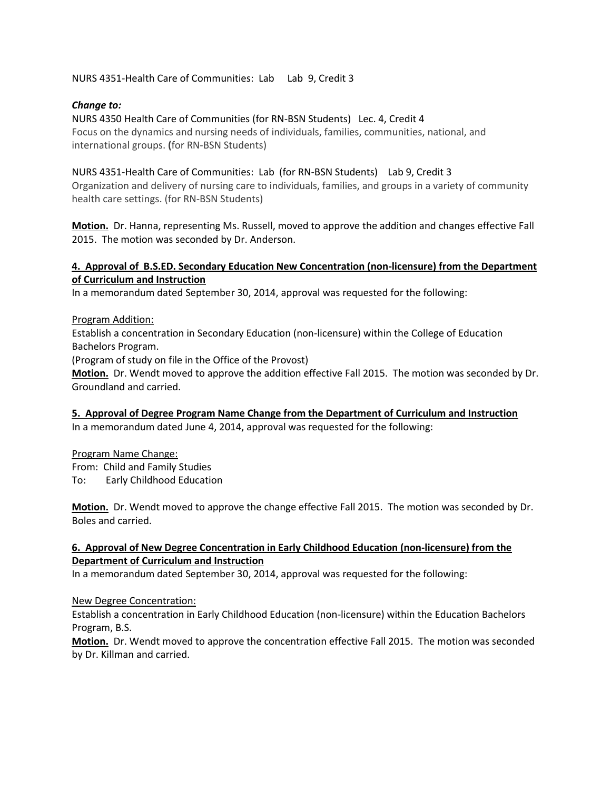NURS 4351-Health Care of Communities: Lab Lab 9, Credit 3

#### *Change to:*

NURS 4350 Health Care of Communities (for RN-BSN Students) Lec. 4, Credit 4 Focus on the dynamics and nursing needs of individuals, families, communities, national, and international groups. **(**for RN-BSN Students)

## NURS 4351-Health Care of Communities: Lab (for RN-BSN Students) Lab 9, Credit 3

Organization and delivery of nursing care to individuals, families, and groups in a variety of community health care settings. (for RN-BSN Students)

**Motion.** Dr. Hanna, representing Ms. Russell, moved to approve the addition and changes effective Fall 2015. The motion was seconded by Dr. Anderson.

## **4. Approval of B.S.ED. Secondary Education New Concentration (non-licensure) from the Department of Curriculum and Instruction**

In a memorandum dated September 30, 2014, approval was requested for the following:

#### Program Addition:

Establish a concentration in Secondary Education (non-licensure) within the College of Education Bachelors Program.

(Program of study on file in the Office of the Provost)

**Motion.** Dr. Wendt moved to approve the addition effective Fall 2015. The motion was seconded by Dr. Groundland and carried.

**5. Approval of Degree Program Name Change from the Department of Curriculum and Instruction** In a memorandum dated June 4, 2014, approval was requested for the following:

#### Program Name Change:

From: Child and Family Studies To: Early Childhood Education

**Motion.** Dr. Wendt moved to approve the change effective Fall 2015. The motion was seconded by Dr. Boles and carried.

## **6. Approval of New Degree Concentration in Early Childhood Education (non-licensure) from the Department of Curriculum and Instruction**

In a memorandum dated September 30, 2014, approval was requested for the following:

#### New Degree Concentration:

Establish a concentration in Early Childhood Education (non-licensure) within the Education Bachelors Program, B.S.

**Motion.** Dr. Wendt moved to approve the concentration effective Fall 2015. The motion was seconded by Dr. Killman and carried.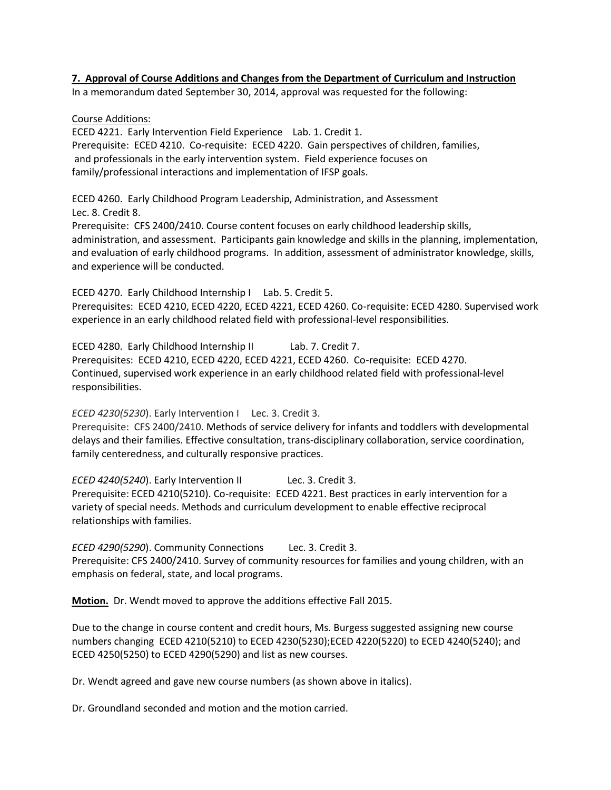#### **7. Approval of Course Additions and Changes from the Department of Curriculum and Instruction**

In a memorandum dated September 30, 2014, approval was requested for the following:

#### Course Additions:

ECED 4221. Early Intervention Field Experience Lab. 1. Credit 1. Prerequisite: ECED 4210. Co-requisite: ECED 4220. Gain perspectives of children, families, and professionals in the early intervention system. Field experience focuses on family/professional interactions and implementation of IFSP goals.

ECED 4260. Early Childhood Program Leadership, Administration, and Assessment Lec. 8. Credit 8.

Prerequisite: CFS 2400/2410. Course content focuses on early childhood leadership skills, administration, and assessment. Participants gain knowledge and skills in the planning, implementation, and evaluation of early childhood programs. In addition, assessment of administrator knowledge, skills, and experience will be conducted.

ECED 4270. Early Childhood Internship I Lab. 5. Credit 5. Prerequisites: ECED 4210, ECED 4220, ECED 4221, ECED 4260. Co-requisite: ECED 4280. Supervised work experience in an early childhood related field with professional-level responsibilities.

ECED 4280. Early Childhood Internship II Lab. 7. Credit 7. Prerequisites: ECED 4210, ECED 4220, ECED 4221, ECED 4260. Co-requisite: ECED 4270. Continued, supervised work experience in an early childhood related field with professional-level responsibilities.

*ECED 4230(5230*). Early Intervention I Lec. 3. Credit 3.

Prerequisite: CFS 2400/2410. Methods of service delivery for infants and toddlers with developmental delays and their families. Effective consultation, trans-disciplinary collaboration, service coordination, family centeredness, and culturally responsive practices.

*ECED 4240(5240*). Early Intervention II Lec. 3. Credit 3. Prerequisite: ECED 4210(5210). Co-requisite: ECED 4221. Best practices in early intervention for a variety of special needs. Methods and curriculum development to enable effective reciprocal relationships with families.

*ECED 4290(5290*). Community Connections Lec. 3. Credit 3. Prerequisite: CFS 2400/2410. Survey of community resources for families and young children, with an emphasis on federal, state, and local programs.

**Motion.** Dr. Wendt moved to approve the additions effective Fall 2015.

Due to the change in course content and credit hours, Ms. Burgess suggested assigning new course numbers changing ECED 4210(5210) to ECED 4230(5230);ECED 4220(5220) to ECED 4240(5240); and ECED 4250(5250) to ECED 4290(5290) and list as new courses.

Dr. Wendt agreed and gave new course numbers (as shown above in italics).

Dr. Groundland seconded and motion and the motion carried.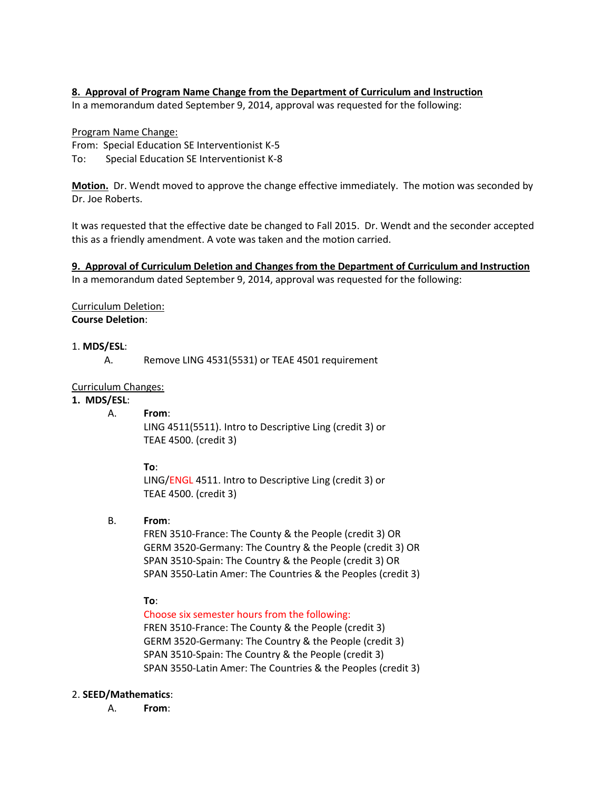## **8. Approval of Program Name Change from the Department of Curriculum and Instruction**

In a memorandum dated September 9, 2014, approval was requested for the following:

## Program Name Change:

From: Special Education SE Interventionist K-5

To: Special Education SE Interventionist K-8

**Motion.** Dr. Wendt moved to approve the change effective immediately. The motion was seconded by Dr. Joe Roberts.

It was requested that the effective date be changed to Fall 2015. Dr. Wendt and the seconder accepted this as a friendly amendment. A vote was taken and the motion carried.

**9. Approval of Curriculum Deletion and Changes from the Department of Curriculum and Instruction** In a memorandum dated September 9, 2014, approval was requested for the following:

#### Curriculum Deletion: **Course Deletion**:

#### 1. **MDS/ESL**:

A. Remove LING 4531(5531) or TEAE 4501 requirement

#### Curriculum Changes:

#### **1. MDS/ESL**:

#### A. **From**:

LING 4511(5511). Intro to Descriptive Ling (credit 3) or TEAE 4500. (credit 3)

#### **To**:

LING/ENGL 4511. Intro to Descriptive Ling (credit 3) or TEAE 4500. (credit 3)

#### B. **From**:

FREN 3510-France: The County & the People (credit 3) OR GERM 3520-Germany: The Country & the People (credit 3) OR SPAN 3510-Spain: The Country & the People (credit 3) OR SPAN 3550-Latin Amer: The Countries & the Peoples (credit 3)

#### **To**:

Choose six semester hours from the following:

FREN 3510-France: The County & the People (credit 3) GERM 3520-Germany: The Country & the People (credit 3) SPAN 3510-Spain: The Country & the People (credit 3) SPAN 3550-Latin Amer: The Countries & the Peoples (credit 3)

#### 2. **SEED/Mathematics**:

A. **From**: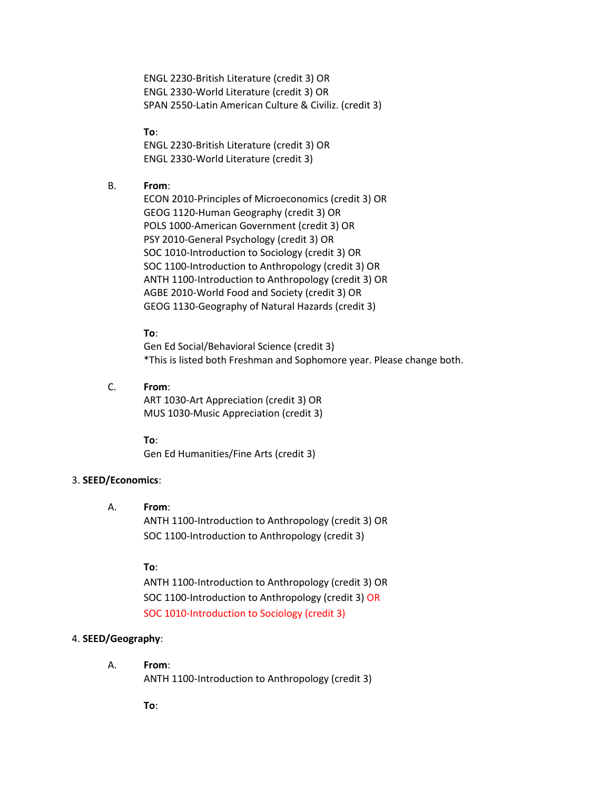ENGL 2230-British Literature (credit 3) OR ENGL 2330-World Literature (credit 3) OR SPAN 2550-Latin American Culture & Civiliz. (credit 3)

**To**:

ENGL 2230-British Literature (credit 3) OR ENGL 2330-World Literature (credit 3)

#### B. **From**:

ECON 2010-Principles of Microeconomics (credit 3) OR GEOG 1120-Human Geography (credit 3) OR POLS 1000-American Government (credit 3) OR PSY 2010-General Psychology (credit 3) OR SOC 1010-Introduction to Sociology (credit 3) OR SOC 1100-Introduction to Anthropology (credit 3) OR ANTH 1100-Introduction to Anthropology (credit 3) OR AGBE 2010-World Food and Society (credit 3) OR GEOG 1130-Geography of Natural Hazards (credit 3)

#### **To**:

Gen Ed Social/Behavioral Science (credit 3) \*This is listed both Freshman and Sophomore year. Please change both.

C. **From**: ART 1030-Art Appreciation (credit 3) OR MUS 1030-Music Appreciation (credit 3)

**To**:

Gen Ed Humanities/Fine Arts (credit 3)

#### 3. **SEED/Economics**:

#### A. **From**:

ANTH 1100-Introduction to Anthropology (credit 3) OR SOC 1100-Introduction to Anthropology (credit 3)

#### **To**:

ANTH 1100-Introduction to Anthropology (credit 3) OR SOC 1100-Introduction to Anthropology (credit 3) OR SOC 1010-Introduction to Sociology (credit 3)

#### 4. **SEED/Geography**:

A. **From**:

ANTH 1100-Introduction to Anthropology (credit 3)

**To**: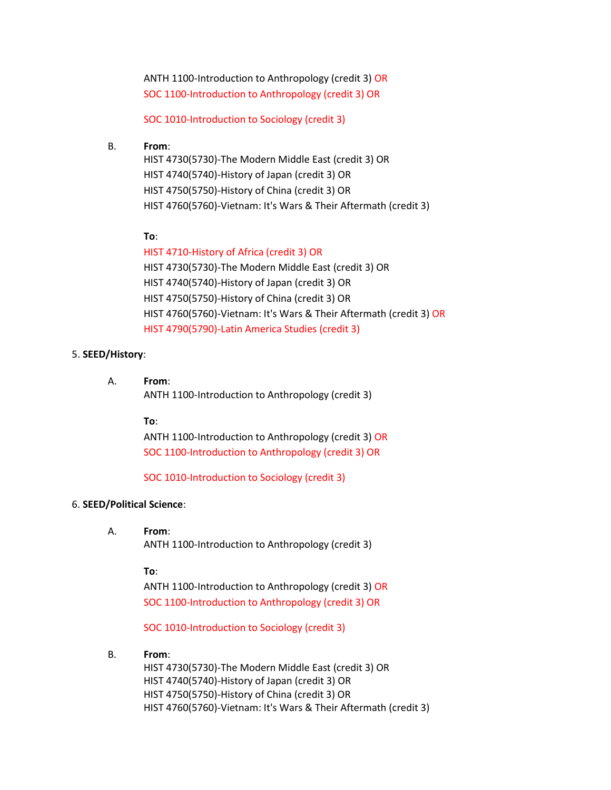ANTH 1100-Introduction to Anthropology (credit 3) OR SOC 1100-Introduction to Anthropology (credit 3) OR

SOC 1010-Introduction to Sociology (credit 3)

#### B. **From**:

HIST 4730(5730)-The Modern Middle East (credit 3) OR HIST 4740(5740)-History of Japan (credit 3) OR HIST 4750(5750)-History of China (credit 3) OR HIST 4760(5760)-Vietnam: It's Wars & Their Aftermath (credit 3)

#### **To**:

# HIST 4710-History of Africa (credit 3) OR

HIST 4730(5730)-The Modern Middle East (credit 3) OR HIST 4740(5740)-History of Japan (credit 3) OR HIST 4750(5750)-History of China (credit 3) OR HIST 4760(5760)-Vietnam: It's Wars & Their Aftermath (credit 3) OR HIST 4790(5790)-Latin America Studies (credit 3)

#### 5. **SEED/History**:

A. **From**: ANTH 1100-Introduction to Anthropology (credit 3)

#### **To**:

ANTH 1100-Introduction to Anthropology (credit 3) OR SOC 1100-Introduction to Anthropology (credit 3) OR

SOC 1010-Introduction to Sociology (credit 3)

#### 6. **SEED/Political Science**:

#### A. **From**:

ANTH 1100-Introduction to Anthropology (credit 3)

#### **To**:

ANTH 1100-Introduction to Anthropology (credit 3) OR SOC 1100-Introduction to Anthropology (credit 3) OR

SOC 1010-Introduction to Sociology (credit 3)

#### B. **From**:

HIST 4730(5730)-The Modern Middle East (credit 3) OR HIST 4740(5740)-History of Japan (credit 3) OR HIST 4750(5750)-History of China (credit 3) OR HIST 4760(5760)-Vietnam: It's Wars & Their Aftermath (credit 3)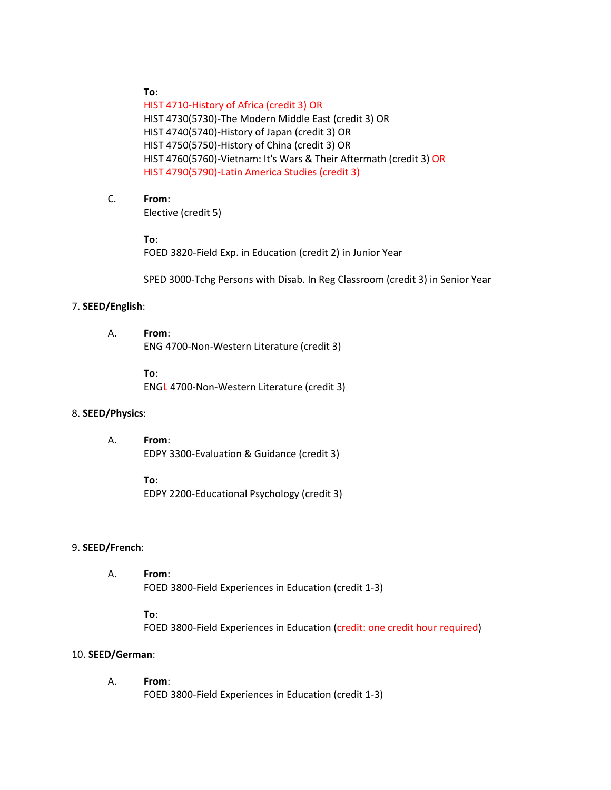#### **To**:

HIST 4710-History of Africa (credit 3) OR HIST 4730(5730)-The Modern Middle East (credit 3) OR HIST 4740(5740)-History of Japan (credit 3) OR HIST 4750(5750)-History of China (credit 3) OR HIST 4760(5760)-Vietnam: It's Wars & Their Aftermath (credit 3) OR HIST 4790(5790)-Latin America Studies (credit 3)

## C. **From**:

Elective (credit 5)

#### **To**:

FOED 3820-Field Exp. in Education (credit 2) in Junior Year

SPED 3000-Tchg Persons with Disab. In Reg Classroom (credit 3) in Senior Year

#### 7. **SEED/English**:

A. **From**: ENG 4700-Non-Western Literature (credit 3)

**To**:

ENGL 4700-Non-Western Literature (credit 3)

#### 8. **SEED/Physics**:

A. **From**: EDPY 3300-Evaluation & Guidance (credit 3)

> **To**: EDPY 2200-Educational Psychology (credit 3)

#### 9. **SEED/French**:

A. **From**: FOED 3800-Field Experiences in Education (credit 1-3)

### **To**:

FOED 3800-Field Experiences in Education (credit: one credit hour required)

#### 10. **SEED/German**:

A. **From**: FOED 3800-Field Experiences in Education (credit 1-3)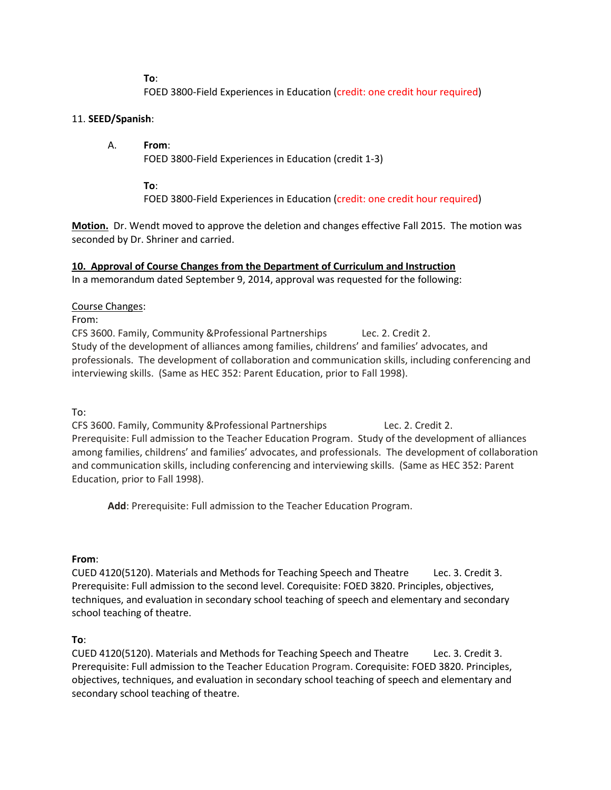**To**:

FOED 3800-Field Experiences in Education (credit: one credit hour required)

## 11. **SEED/Spanish**:

## A. **From**:

FOED 3800-Field Experiences in Education (credit 1-3)

**To**:

FOED 3800-Field Experiences in Education (credit: one credit hour required)

**Motion.** Dr. Wendt moved to approve the deletion and changes effective Fall 2015. The motion was seconded by Dr. Shriner and carried.

## **10. Approval of Course Changes from the Department of Curriculum and Instruction**

In a memorandum dated September 9, 2014, approval was requested for the following:

## Course Changes:

From:

CFS 3600. Family, Community &Professional Partnerships Lec. 2. Credit 2. Study of the development of alliances among families, childrens' and families' advocates, and professionals. The development of collaboration and communication skills, including conferencing and interviewing skills. (Same as HEC 352: Parent Education, prior to Fall 1998).

To:

CFS 3600. Family, Community &Professional Partnerships Lec. 2. Credit 2. Prerequisite: Full admission to the Teacher Education Program. Study of the development of alliances among families, childrens' and families' advocates, and professionals. The development of collaboration and communication skills, including conferencing and interviewing skills. (Same as HEC 352: Parent Education, prior to Fall 1998).

**Add**: Prerequisite: Full admission to the Teacher Education Program.

## **From**:

CUED 4120(5120). Materials and Methods for Teaching Speech and Theatre Lec. 3. Credit 3. Prerequisite: Full admission to the second level. Corequisite: FOED 3820. Principles, objectives, techniques, and evaluation in secondary school teaching of speech and elementary and secondary school teaching of theatre.

## **To**:

CUED 4120(5120). Materials and Methods for Teaching Speech and Theatre Lec. 3. Credit 3. Prerequisite: Full admission to the Teacher Education Program. Corequisite: FOED 3820. Principles, objectives, techniques, and evaluation in secondary school teaching of speech and elementary and secondary school teaching of theatre.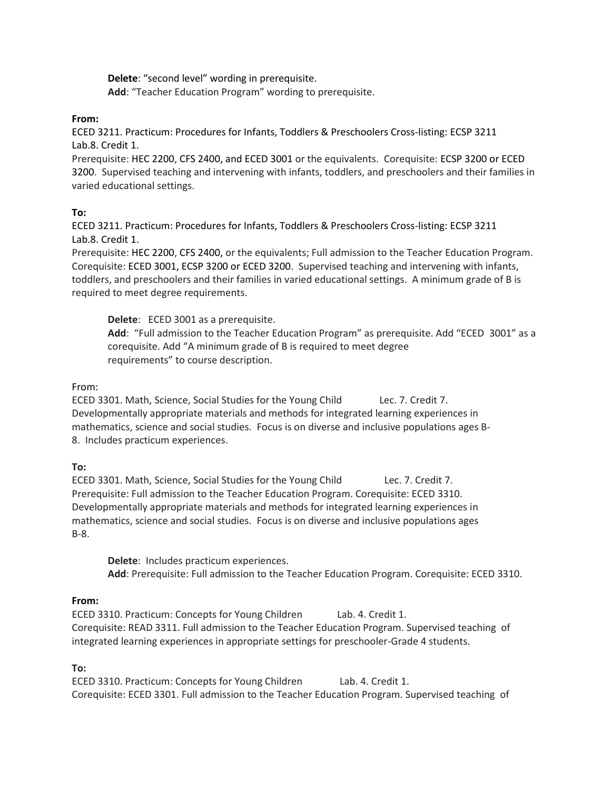**Delete**: "second level" wording in prerequisite. **Add**: "Teacher Education Program" wording to prerequisite.

#### **From:**

ECED 3211. Practicum: Procedures for Infants, Toddlers & Preschoolers Cross-listing: ECSP 3211 Lab.8. Credit 1.

Prerequisite: HEC 2200, CFS 2400, and ECED 3001 or the equivalents. Corequisite: ECSP 3200 or ECED 3200. Supervised teaching and intervening with infants, toddlers, and preschoolers and their families in varied educational settings.

## **To:**

ECED 3211. Practicum: Procedures for Infants, Toddlers & Preschoolers Cross-listing: ECSP 3211 Lab.8. Credit 1.

Prerequisite: HEC 2200, CFS 2400, or the equivalents; Full admission to the Teacher Education Program. Corequisite: ECED 3001, ECSP 3200 or ECED 3200. Supervised teaching and intervening with infants, toddlers, and preschoolers and their families in varied educational settings. A minimum grade of B is required to meet degree requirements.

**Delete**: ECED 3001 as a prerequisite. **Add**: "Full admission to the Teacher Education Program" as prerequisite. Add "ECED 3001" as a corequisite. Add "A minimum grade of B is required to meet degree

requirements" to course description.

#### From:

ECED 3301. Math, Science, Social Studies for the Young Child Lec. 7. Credit 7. Developmentally appropriate materials and methods for integrated learning experiences in mathematics, science and social studies. Focus is on diverse and inclusive populations ages B-8. Includes practicum experiences.

#### **To:**

ECED 3301. Math, Science, Social Studies for the Young Child Lec. 7. Credit 7. Prerequisite: Full admission to the Teacher Education Program. Corequisite: ECED 3310. Developmentally appropriate materials and methods for integrated learning experiences in mathematics, science and social studies. Focus is on diverse and inclusive populations ages B-8.

**Delete**: Includes practicum experiences. **Add**: Prerequisite: Full admission to the Teacher Education Program. Corequisite: ECED 3310.

#### **From:**

ECED 3310. Practicum: Concepts for Young Children Lab. 4. Credit 1. Corequisite: READ 3311. Full admission to the Teacher Education Program. Supervised teaching of integrated learning experiences in appropriate settings for preschooler-Grade 4 students.

#### **To:**

ECED 3310. Practicum: Concepts for Young Children Lab. 4. Credit 1. Corequisite: ECED 3301. Full admission to the Teacher Education Program. Supervised teaching of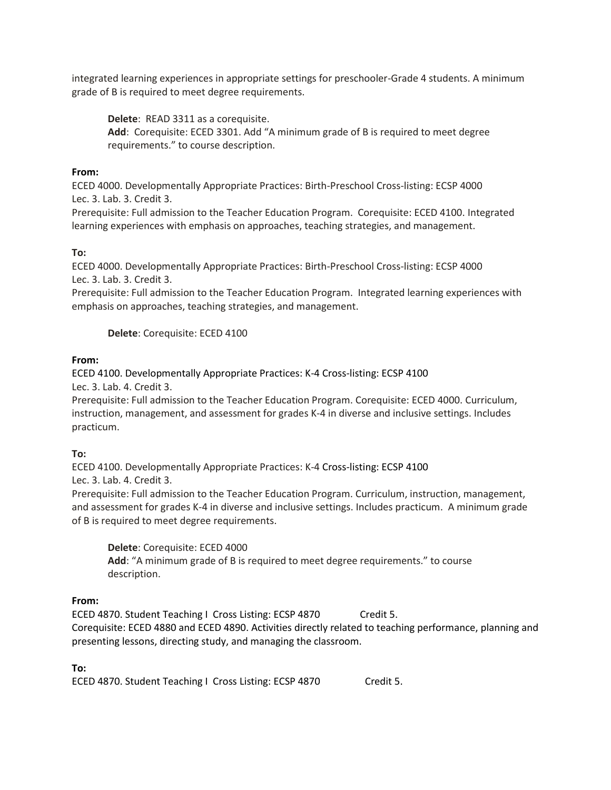integrated learning experiences in appropriate settings for preschooler-Grade 4 students. A minimum grade of B is required to meet degree requirements.

**Delete**: READ 3311 as a corequisite. **Add**: Corequisite: ECED 3301. Add "A minimum grade of B is required to meet degree requirements." to course description.

## **From:**

ECED 4000. Developmentally Appropriate Practices: Birth-Preschool Cross-listing: ECSP 4000 Lec. 3. Lab. 3. Credit 3.

Prerequisite: Full admission to the Teacher Education Program. Corequisite: ECED 4100. Integrated learning experiences with emphasis on approaches, teaching strategies, and management.

## **To:**

ECED 4000. Developmentally Appropriate Practices: Birth-Preschool Cross-listing: ECSP 4000 Lec. 3. Lab. 3. Credit 3.

Prerequisite: Full admission to the Teacher Education Program. Integrated learning experiences with emphasis on approaches, teaching strategies, and management.

#### **Delete**: Corequisite: ECED 4100

## **From:**

ECED 4100. Developmentally Appropriate Practices: K-4 Cross-listing: ECSP 4100 Lec. 3. Lab. 4. Credit 3.

Prerequisite: Full admission to the Teacher Education Program. Corequisite: ECED 4000. Curriculum, instruction, management, and assessment for grades K-4 in diverse and inclusive settings. Includes practicum.

#### **To:**

ECED 4100. Developmentally Appropriate Practices: K-4 Cross-listing: ECSP 4100 Lec. 3. Lab. 4. Credit 3.

Prerequisite: Full admission to the Teacher Education Program. Curriculum, instruction, management, and assessment for grades K-4 in diverse and inclusive settings. Includes practicum. A minimum grade of B is required to meet degree requirements.

**Delete**: Corequisite: ECED 4000 **Add**: "A minimum grade of B is required to meet degree requirements." to course description.

#### **From:**

ECED 4870. Student Teaching I Cross Listing: ECSP 4870 Credit 5. Corequisite: ECED 4880 and ECED 4890. Activities directly related to teaching performance, planning and presenting lessons, directing study, and managing the classroom.

#### **To:**

ECED 4870. Student Teaching I Cross Listing: ECSP 4870 Credit 5.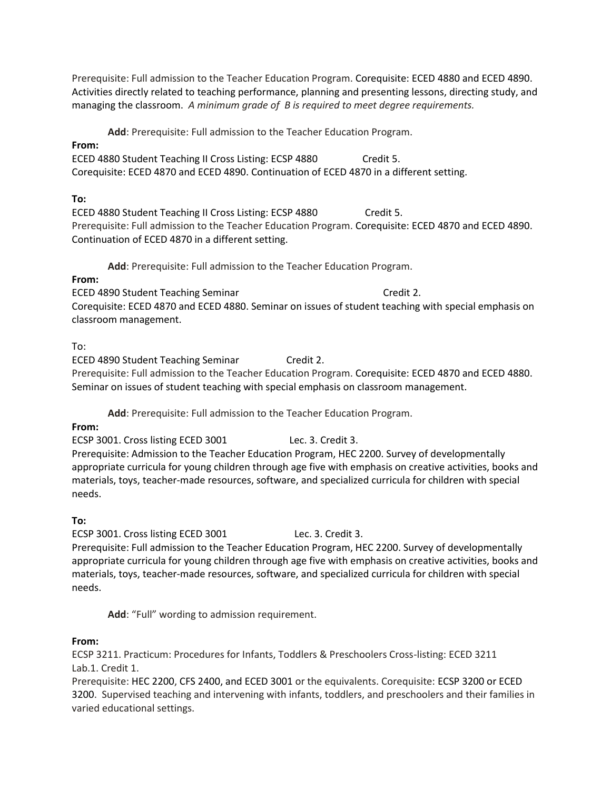Prerequisite: Full admission to the Teacher Education Program. Corequisite: ECED 4880 and ECED 4890. Activities directly related to teaching performance, planning and presenting lessons, directing study, and managing the classroom. *A minimum grade of B is required to meet degree requirements.*

**Add**: Prerequisite: Full admission to the Teacher Education Program.

## **From:**

ECED 4880 Student Teaching II Cross Listing: ECSP 4880 Credit 5. Corequisite: ECED 4870 and ECED 4890. Continuation of ECED 4870 in a different setting.

## **To:**

ECED 4880 Student Teaching II Cross Listing: ECSP 4880 Credit 5. Prerequisite: Full admission to the Teacher Education Program. Corequisite: ECED 4870 and ECED 4890. Continuation of ECED 4870 in a different setting.

**Add**: Prerequisite: Full admission to the Teacher Education Program.

## **From:**

ECED 4890 Student Teaching Seminar Credit 2. Corequisite: ECED 4870 and ECED 4880. Seminar on issues of student teaching with special emphasis on classroom management.

## To:

ECED 4890 Student Teaching Seminar Credit 2. Prerequisite: Full admission to the Teacher Education Program. Corequisite: ECED 4870 and ECED 4880. Seminar on issues of student teaching with special emphasis on classroom management.

**Add**: Prerequisite: Full admission to the Teacher Education Program.

## **From:**

ECSP 3001. Cross listing ECED 3001 Lec. 3. Credit 3. Prerequisite: Admission to the Teacher Education Program, HEC 2200. Survey of developmentally appropriate curricula for young children through age five with emphasis on creative activities, books and materials, toys, teacher-made resources, software, and specialized curricula for children with special needs.

## **To:**

ECSP 3001. Cross listing ECED 3001 Lec. 3. Credit 3. Prerequisite: Full admission to the Teacher Education Program, HEC 2200. Survey of developmentally appropriate curricula for young children through age five with emphasis on creative activities, books and materials, toys, teacher-made resources, software, and specialized curricula for children with special needs.

**Add**: "Full" wording to admission requirement.

## **From:**

ECSP 3211. Practicum: Procedures for Infants, Toddlers & Preschoolers Cross-listing: ECED 3211 Lab.1. Credit 1.

Prerequisite: HEC 2200, CFS 2400, and ECED 3001 or the equivalents. Corequisite: ECSP 3200 or ECED 3200. Supervised teaching and intervening with infants, toddlers, and preschoolers and their families in varied educational settings.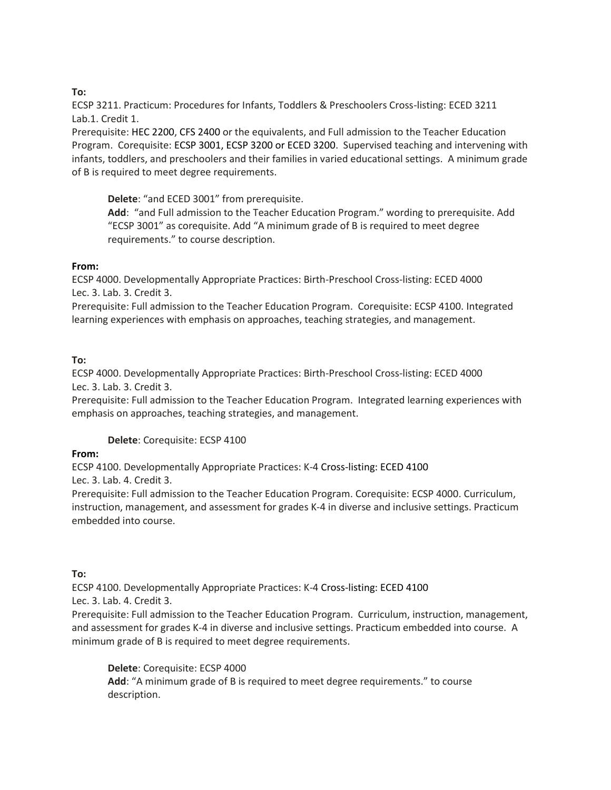## **To:**

ECSP 3211. Practicum: Procedures for Infants, Toddlers & Preschoolers Cross-listing: ECED 3211 Lab.1. Credit 1.

Prerequisite: HEC 2200, CFS 2400 or the equivalents, and Full admission to the Teacher Education Program. Corequisite: ECSP 3001, ECSP 3200 or ECED 3200. Supervised teaching and intervening with infants, toddlers, and preschoolers and their families in varied educational settings. A minimum grade of B is required to meet degree requirements.

**Delete**: "and ECED 3001" from prerequisite.

**Add**: "and Full admission to the Teacher Education Program." wording to prerequisite. Add "ECSP 3001" as corequisite. Add "A minimum grade of B is required to meet degree requirements." to course description.

## **From:**

ECSP 4000. Developmentally Appropriate Practices: Birth-Preschool Cross-listing: ECED 4000 Lec. 3. Lab. 3. Credit 3.

Prerequisite: Full admission to the Teacher Education Program. Corequisite: ECSP 4100. Integrated learning experiences with emphasis on approaches, teaching strategies, and management.

## **To:**

ECSP 4000. Developmentally Appropriate Practices: Birth-Preschool Cross-listing: ECED 4000 Lec. 3. Lab. 3. Credit 3.

Prerequisite: Full admission to the Teacher Education Program. Integrated learning experiences with emphasis on approaches, teaching strategies, and management.

## **Delete**: Corequisite: ECSP 4100

### **From:**

ECSP 4100. Developmentally Appropriate Practices: K-4 Cross-listing: ECED 4100

Lec. 3. Lab. 4. Credit 3.

Prerequisite: Full admission to the Teacher Education Program. Corequisite: ECSP 4000. Curriculum, instruction, management, and assessment for grades K-4 in diverse and inclusive settings. Practicum embedded into course.

## **To:**

ECSP 4100. Developmentally Appropriate Practices: K-4 Cross-listing: ECED 4100 Lec. 3. Lab. 4. Credit 3.

Prerequisite: Full admission to the Teacher Education Program. Curriculum, instruction, management, and assessment for grades K-4 in diverse and inclusive settings. Practicum embedded into course. A minimum grade of B is required to meet degree requirements.

**Delete**: Corequisite: ECSP 4000 **Add**: "A minimum grade of B is required to meet degree requirements." to course description.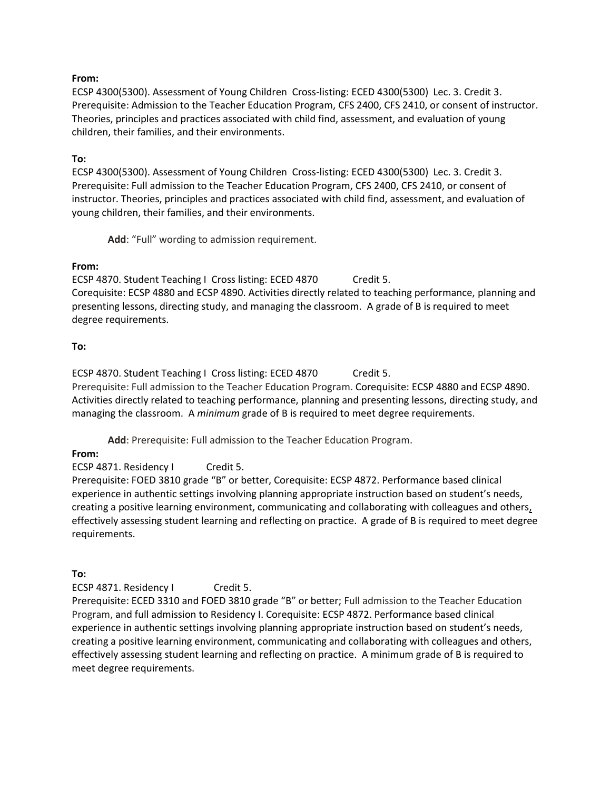#### **From:**

ECSP 4300(5300). Assessment of Young Children Cross-listing: ECED 4300(5300) Lec. 3. Credit 3. Prerequisite: Admission to the Teacher Education Program, CFS 2400, CFS 2410, or consent of instructor. Theories, principles and practices associated with child find, assessment, and evaluation of young children, their families, and their environments.

#### **To:**

ECSP 4300(5300). Assessment of Young Children Cross-listing: ECED 4300(5300) Lec. 3. Credit 3. Prerequisite: Full admission to the Teacher Education Program, CFS 2400, CFS 2410, or consent of instructor. Theories, principles and practices associated with child find, assessment, and evaluation of young children, their families, and their environments.

**Add**: "Full" wording to admission requirement.

#### **From:**

ECSP 4870. Student Teaching I Cross listing: ECED 4870 Credit 5. Corequisite: ECSP 4880 and ECSP 4890. Activities directly related to teaching performance, planning and presenting lessons, directing study, and managing the classroom. A grade of B is required to meet degree requirements.

#### **To:**

ECSP 4870. Student Teaching I Cross listing: ECED 4870 Credit 5. Prerequisite: Full admission to the Teacher Education Program. Corequisite: ECSP 4880 and ECSP 4890. Activities directly related to teaching performance, planning and presenting lessons, directing study, and managing the classroom. A *minimum* grade of B is required to meet degree requirements.

**Add**: Prerequisite: Full admission to the Teacher Education Program.

#### **From:**

ECSP 4871. Residency I Credit 5.

Prerequisite: FOED 3810 grade "B" or better, Corequisite: ECSP 4872. Performance based clinical experience in authentic settings involving planning appropriate instruction based on student's needs, creating a positive learning environment, communicating and collaborating with colleagues and others, effectively assessing student learning and reflecting on practice. A grade of B is required to meet degree requirements.

#### **To:**

ECSP 4871. Residency I Credit 5.

Prerequisite: ECED 3310 and FOED 3810 grade "B" or better; Full admission to the Teacher Education Program, and full admission to Residency I. Corequisite: ECSP 4872. Performance based clinical experience in authentic settings involving planning appropriate instruction based on student's needs, creating a positive learning environment, communicating and collaborating with colleagues and others, effectively assessing student learning and reflecting on practice. A minimum grade of B is required to meet degree requirements.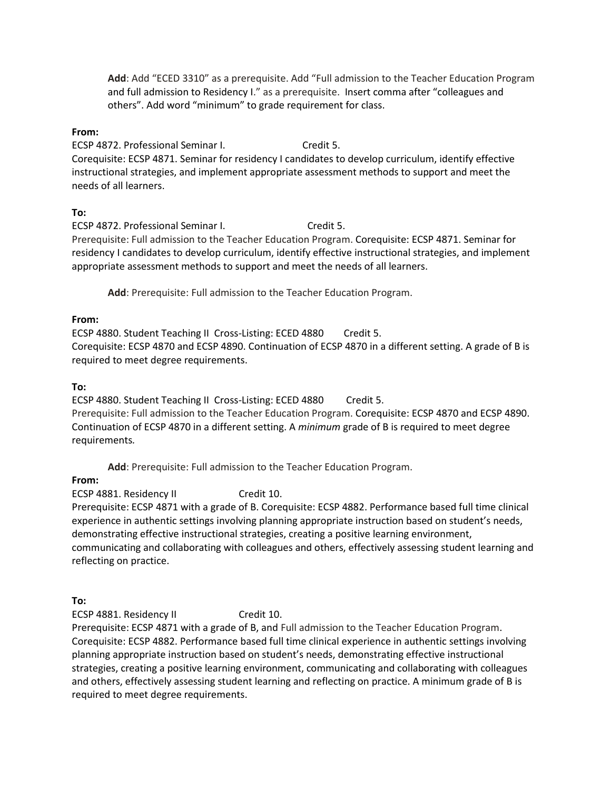**Add**: Add "ECED 3310" as a prerequisite. Add "Full admission to the Teacher Education Program and full admission to Residency I." as a prerequisite. Insert comma after "colleagues and others". Add word "minimum" to grade requirement for class.

#### **From:**

ECSP 4872. Professional Seminar I. Credit 5. Corequisite: ECSP 4871. Seminar for residency I candidates to develop curriculum, identify effective instructional strategies, and implement appropriate assessment methods to support and meet the needs of all learners.

#### **To:**

ECSP 4872. Professional Seminar I. Credit 5. Prerequisite: Full admission to the Teacher Education Program. Corequisite: ECSP 4871. Seminar for residency I candidates to develop curriculum, identify effective instructional strategies, and implement appropriate assessment methods to support and meet the needs of all learners.

**Add**: Prerequisite: Full admission to the Teacher Education Program.

#### **From:**

ECSP 4880. Student Teaching II Cross-Listing: ECED 4880 Credit 5.

Corequisite: ECSP 4870 and ECSP 4890. Continuation of ECSP 4870 in a different setting. A grade of B is required to meet degree requirements.

## **To:**

ECSP 4880. Student Teaching II Cross-Listing: ECED 4880 Credit 5.

Prerequisite: Full admission to the Teacher Education Program. Corequisite: ECSP 4870 and ECSP 4890. Continuation of ECSP 4870 in a different setting. A *minimum* grade of B is required to meet degree requirements*.* 

**Add**: Prerequisite: Full admission to the Teacher Education Program.

#### **From:**

ECSP 4881. Residency II Credit 10.

Prerequisite: ECSP 4871 with a grade of B. Corequisite: ECSP 4882. Performance based full time clinical experience in authentic settings involving planning appropriate instruction based on student's needs, demonstrating effective instructional strategies, creating a positive learning environment, communicating and collaborating with colleagues and others, effectively assessing student learning and reflecting on practice.

**To:**

ECSP 4881. Residency II Credit 10.

Prerequisite: ECSP 4871 with a grade of B, and Full admission to the Teacher Education Program. Corequisite: ECSP 4882. Performance based full time clinical experience in authentic settings involving planning appropriate instruction based on student's needs, demonstrating effective instructional strategies, creating a positive learning environment, communicating and collaborating with colleagues and others, effectively assessing student learning and reflecting on practice. A minimum grade of B is required to meet degree requirements.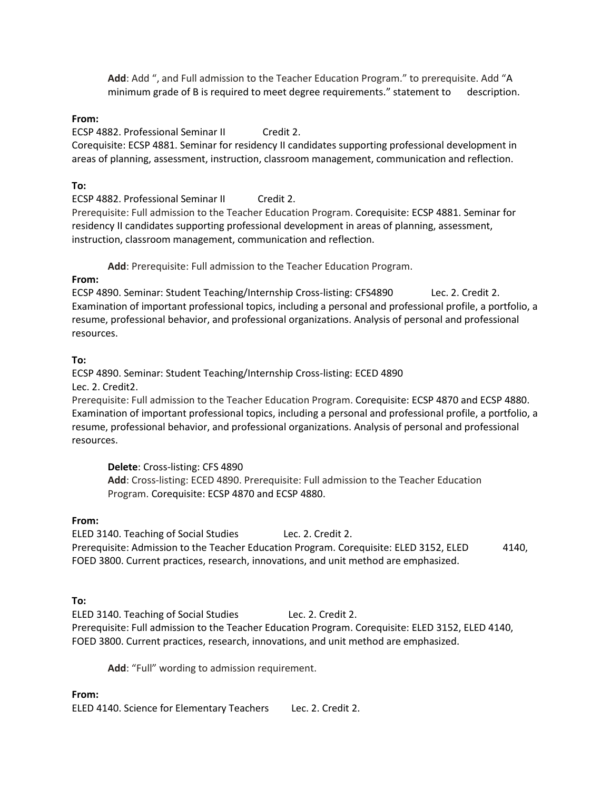**Add**: Add ", and Full admission to the Teacher Education Program." to prerequisite. Add "A minimum grade of B is required to meet degree requirements." statement to description.

#### **From:**

ECSP 4882. Professional Seminar II Credit 2. Corequisite: ECSP 4881. Seminar for residency II candidates supporting professional development in areas of planning, assessment, instruction, classroom management, communication and reflection.

#### **To:**

ECSP 4882. Professional Seminar II Credit 2. Prerequisite: Full admission to the Teacher Education Program. Corequisite: ECSP 4881. Seminar for residency II candidates supporting professional development in areas of planning, assessment, instruction, classroom management, communication and reflection.

**Add**: Prerequisite: Full admission to the Teacher Education Program.

## **From:**

ECSP 4890. Seminar: Student Teaching/Internship Cross-listing: CFS4890 Lec. 2. Credit 2. Examination of important professional topics, including a personal and professional profile, a portfolio, a resume, professional behavior, and professional organizations. Analysis of personal and professional resources.

## **To:**

ECSP 4890. Seminar: Student Teaching/Internship Cross-listing: ECED 4890 Lec. 2. Credit2.

Prerequisite: Full admission to the Teacher Education Program. Corequisite: ECSP 4870 and ECSP 4880. Examination of important professional topics, including a personal and professional profile, a portfolio, a resume, professional behavior, and professional organizations. Analysis of personal and professional resources.

**Delete**: Cross-listing: CFS 4890 **Add**: Cross-listing: ECED 4890. Prerequisite: Full admission to the Teacher Education Program. Corequisite: ECSP 4870 and ECSP 4880.

#### **From:**

ELED 3140. Teaching of Social Studies Lec. 2. Credit 2. Prerequisite: Admission to the Teacher Education Program. Corequisite: ELED 3152, ELED 4140, FOED 3800. Current practices, research, innovations, and unit method are emphasized.

#### **To:**

ELED 3140. Teaching of Social Studies Lec. 2. Credit 2. Prerequisite: Full admission to the Teacher Education Program. Corequisite: ELED 3152, ELED 4140, FOED 3800. Current practices, research, innovations, and unit method are emphasized.

**Add**: "Full" wording to admission requirement.

#### **From:**

ELED 4140. Science for Elementary Teachers Lec. 2. Credit 2.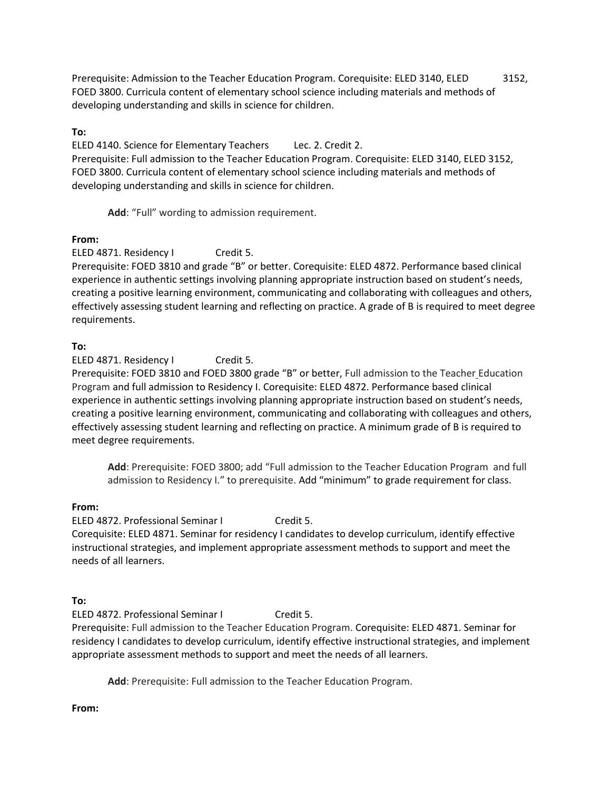Prerequisite: Admission to the Teacher Education Program. Corequisite: ELED 3140, ELED 3152, FOED 3800. Curricula content of elementary school science including materials and methods of developing understanding and skills in science for children.

## **To:**

ELED 4140. Science for Elementary Teachers Lec. 2. Credit 2. Prerequisite: Full admission to the Teacher Education Program. Corequisite: ELED 3140, ELED 3152, FOED 3800. Curricula content of elementary school science including materials and methods of developing understanding and skills in science for children.

**Add**: "Full" wording to admission requirement.

## **From:**

ELED 4871. Residency I Credit 5.

Prerequisite: FOED 3810 and grade "B" or better. Corequisite: ELED 4872. Performance based clinical experience in authentic settings involving planning appropriate instruction based on student's needs, creating a positive learning environment, communicating and collaborating with colleagues and others, effectively assessing student learning and reflecting on practice. A grade of B is required to meet degree requirements.

## **To:**

ELED 4871. Residency I Credit 5.

Prerequisite: FOED 3810 and FOED 3800 grade "B" or better, Full admission to the Teacher Education Program and full admission to Residency I. Corequisite: ELED 4872. Performance based clinical experience in authentic settings involving planning appropriate instruction based on student's needs, creating a positive learning environment, communicating and collaborating with colleagues and others, effectively assessing student learning and reflecting on practice. A minimum grade of B is required to meet degree requirements.

**Add**: Prerequisite: FOED 3800; add "Full admission to the Teacher Education Program and full admission to Residency I." to prerequisite. Add "minimum" to grade requirement for class.

## **From:**

ELED 4872. Professional Seminar I Credit 5. Corequisite: ELED 4871. Seminar for residency I candidates to develop curriculum, identify effective instructional strategies, and implement appropriate assessment methods to support and meet the needs of all learners.

## **To:**

ELED 4872. Professional Seminar I Credit 5. Prerequisite: Full admission to the Teacher Education Program. Corequisite: ELED 4871. Seminar for residency I candidates to develop curriculum, identify effective instructional strategies, and implement appropriate assessment methods to support and meet the needs of all learners.

**Add**: Prerequisite: Full admission to the Teacher Education Program.

#### **From:**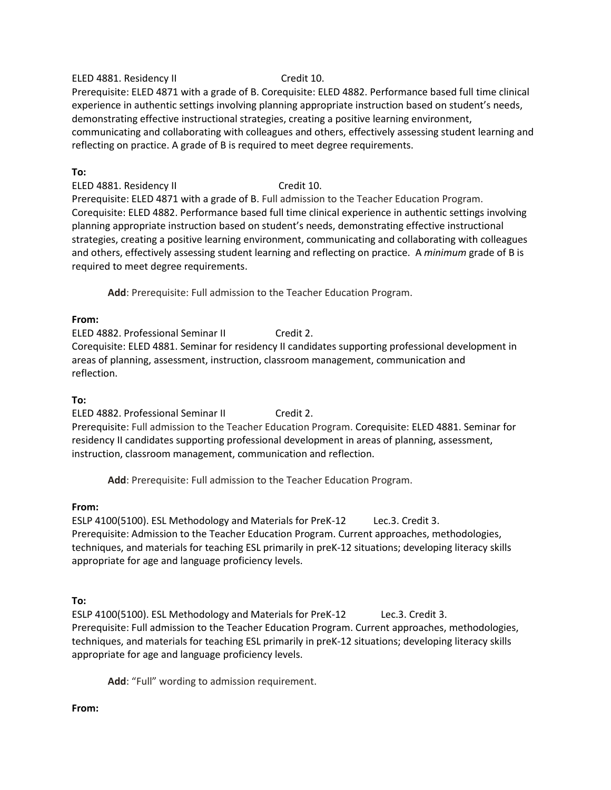#### ELED 4881. Residency II Credit 10.

Prerequisite: ELED 4871 with a grade of B. Corequisite: ELED 4882. Performance based full time clinical experience in authentic settings involving planning appropriate instruction based on student's needs, demonstrating effective instructional strategies, creating a positive learning environment, communicating and collaborating with colleagues and others, effectively assessing student learning and reflecting on practice. A grade of B is required to meet degree requirements.

## **To:**

ELED 4881. Residency II Credit 10. Prerequisite: ELED 4871 with a grade of B. Full admission to the Teacher Education Program. Corequisite: ELED 4882. Performance based full time clinical experience in authentic settings involving planning appropriate instruction based on student's needs, demonstrating effective instructional strategies, creating a positive learning environment, communicating and collaborating with colleagues and others, effectively assessing student learning and reflecting on practice. A *minimum* grade of B is required to meet degree requirements.

**Add**: Prerequisite: Full admission to the Teacher Education Program.

#### **From:**

ELED 4882. Professional Seminar II Credit 2. Corequisite: ELED 4881. Seminar for residency II candidates supporting professional development in areas of planning, assessment, instruction, classroom management, communication and reflection.

## **To:**

ELED 4882. Professional Seminar II Credit 2.

Prerequisite: Full admission to the Teacher Education Program. Corequisite: ELED 4881. Seminar for residency II candidates supporting professional development in areas of planning, assessment, instruction, classroom management, communication and reflection.

**Add**: Prerequisite: Full admission to the Teacher Education Program.

#### **From:**

ESLP 4100(5100). ESL Methodology and Materials for PreK-12 Lec.3. Credit 3. Prerequisite: Admission to the Teacher Education Program. Current approaches, methodologies, techniques, and materials for teaching ESL primarily in preK-12 situations; developing literacy skills appropriate for age and language proficiency levels.

#### **To:**

ESLP 4100(5100). ESL Methodology and Materials for PreK-12 Lec.3. Credit 3. Prerequisite: Full admission to the Teacher Education Program. Current approaches, methodologies, techniques, and materials for teaching ESL primarily in preK-12 situations; developing literacy skills appropriate for age and language proficiency levels.

**Add**: "Full" wording to admission requirement.

#### **From:**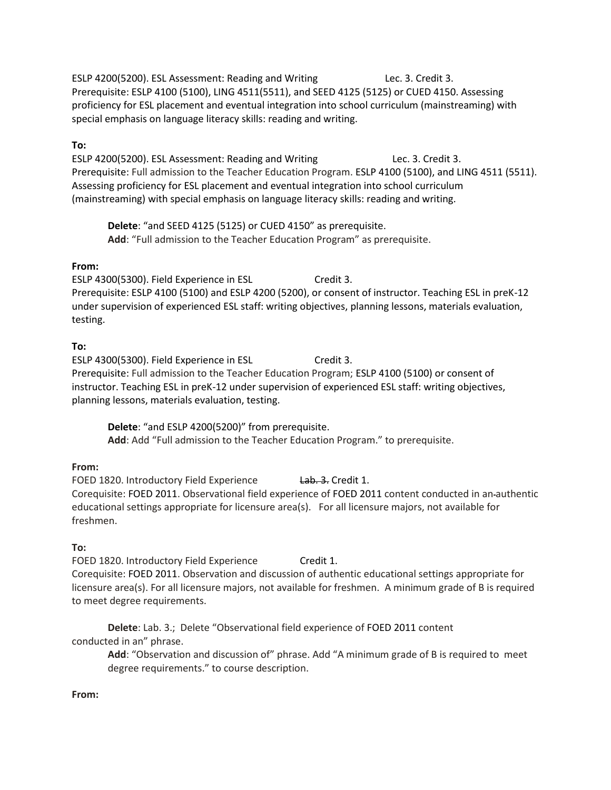ESLP 4200(5200). ESL Assessment: Reading and Writing Lec. 3. Credit 3. Prerequisite: ESLP 4100 (5100), LING 4511(5511), and SEED 4125 (5125) or CUED 4150. Assessing proficiency for ESL placement and eventual integration into school curriculum (mainstreaming) with special emphasis on language literacy skills: reading and writing.

## **To:**

ESLP 4200(5200). ESL Assessment: Reading and Writing Lec. 3. Credit 3. Prerequisite: Full admission to the Teacher Education Program. ESLP 4100 (5100), and LING 4511 (5511). Assessing proficiency for ESL placement and eventual integration into school curriculum (mainstreaming) with special emphasis on language literacy skills: reading and writing.

**Delete**: "and SEED 4125 (5125) or CUED 4150" as prerequisite. **Add**: "Full admission to the Teacher Education Program" as prerequisite.

## **From:**

ESLP 4300(5300). Field Experience in ESL Credit 3. Prerequisite: ESLP 4100 (5100) and ESLP 4200 (5200), or consent of instructor. Teaching ESL in preK-12 under supervision of experienced ESL staff: writing objectives, planning lessons, materials evaluation, testing.

## **To:**

ESLP 4300(5300). Field Experience in ESL Credit 3. Prerequisite: Full admission to the Teacher Education Program; ESLP 4100 (5100) or consent of instructor. Teaching ESL in preK-12 under supervision of experienced ESL staff: writing objectives, planning lessons, materials evaluation, testing.

**Delete**: "and ESLP 4200(5200)" from prerequisite. **Add**: Add "Full admission to the Teacher Education Program." to prerequisite.

## **From:**

FOED 1820. Introductory Field Experience Lab. 3. Credit 1. Corequisite: FOED 2011. Observational field experience of FOED 2011 content conducted in an authentic educational settings appropriate for licensure area(s). For all licensure majors, not available for freshmen.

## **To:**

FOED 1820. Introductory Field Experience Credit 1. Corequisite: FOED 2011. Observation and discussion of authentic educational settings appropriate for licensure area(s). For all licensure majors, not available for freshmen. A minimum grade of B is required to meet degree requirements.

**Delete**: Lab. 3.; Delete "Observational field experience of FOED 2011 content conducted in an" phrase.

**Add**: "Observation and discussion of" phrase. Add "A minimum grade of B is required to meet degree requirements." to course description.

## **From:**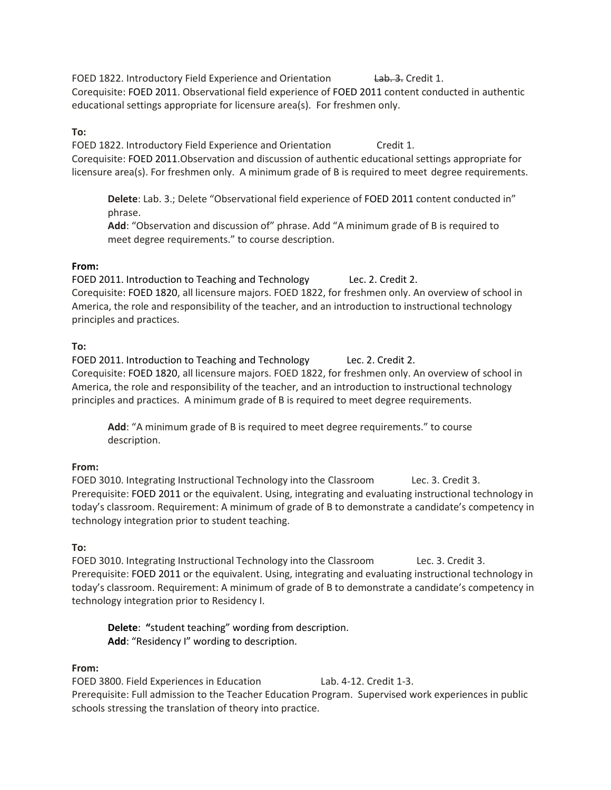FOED 1822. Introductory Field Experience and Orientation Lab. 3. Credit 1. Corequisite: FOED 2011. Observational field experience of FOED 2011 content conducted in authentic educational settings appropriate for licensure area(s). For freshmen only.

## **To:**

FOED 1822. Introductory Field Experience and Orientation Credit 1. Corequisite: FOED 2011.Observation and discussion of authentic educational settings appropriate for licensure area(s). For freshmen only. A minimum grade of B is required to meet degree requirements.

**Delete**: Lab. 3.; Delete "Observational field experience of FOED 2011 content conducted in" phrase.

**Add**: "Observation and discussion of" phrase. Add "A minimum grade of B is required to meet degree requirements." to course description.

## **From:**

FOED 2011. Introduction to Teaching and Technology Lec. 2. Credit 2. Corequisite: FOED 1820, all licensure majors. FOED 1822, for freshmen only. An overview of school in America, the role and responsibility of the teacher, and an introduction to instructional technology principles and practices.

## **To:**

FOED 2011. Introduction to Teaching and Technology Lec. 2. Credit 2. Corequisite: FOED 1820, all licensure majors. FOED 1822, for freshmen only. An overview of school in America, the role and responsibility of the teacher, and an introduction to instructional technology principles and practices. A minimum grade of B is required to meet degree requirements.

Add: "A minimum grade of B is required to meet degree requirements." to course description.

## **From:**

FOED 3010. Integrating Instructional Technology into the Classroom Lec. 3. Credit 3. Prerequisite: FOED 2011 or the equivalent. Using, integrating and evaluating instructional technology in today's classroom. Requirement: A minimum of grade of B to demonstrate a candidate's competency in technology integration prior to student teaching.

#### **To:**

FOED 3010. Integrating Instructional Technology into the Classroom Lec. 3. Credit 3. Prerequisite: FOED 2011 or the equivalent. Using, integrating and evaluating instructional technology in today's classroom. Requirement: A minimum of grade of B to demonstrate a candidate's competency in technology integration prior to Residency I.

**Delete**: **"**student teaching" wording from description. **Add**: "Residency I" wording to description.

## **From:**

FOED 3800. Field Experiences in Education Lab. 4-12. Credit 1-3. Prerequisite: Full admission to the Teacher Education Program. Supervised work experiences in public schools stressing the translation of theory into practice.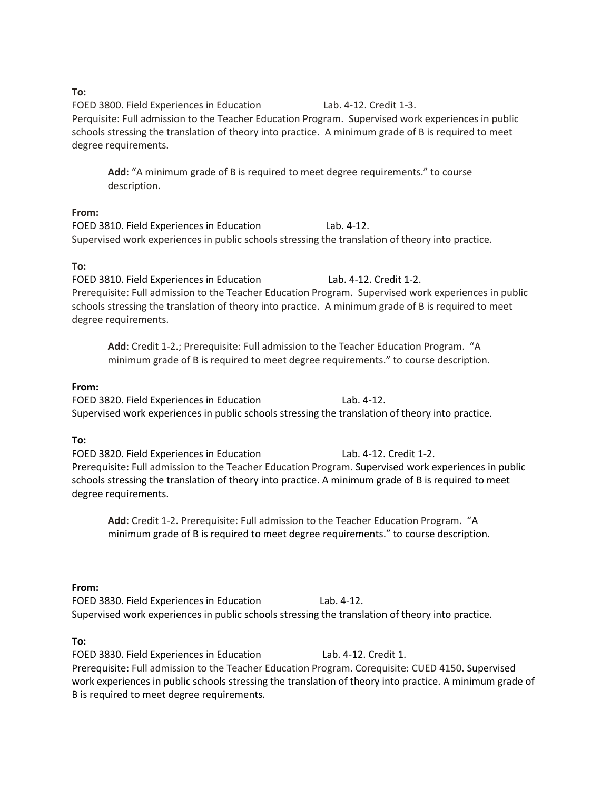### **To:**

FOED 3800. Field Experiences in Education Lab. 4-12. Credit 1-3. Perquisite: Full admission to the Teacher Education Program. Supervised work experiences in public schools stressing the translation of theory into practice. A minimum grade of B is required to meet degree requirements.

**Add**: "A minimum grade of B is required to meet degree requirements." to course description.

#### **From:**

FOED 3810. Field Experiences in Education Lab. 4-12. Supervised work experiences in public schools stressing the translation of theory into practice.

## **To:**

FOED 3810. Field Experiences in Education Lab. 4-12. Credit 1-2. Prerequisite: Full admission to the Teacher Education Program. Supervised work experiences in public schools stressing the translation of theory into practice. A minimum grade of B is required to meet degree requirements.

**Add**: Credit 1-2.; Prerequisite: Full admission to the Teacher Education Program. "A minimum grade of B is required to meet degree requirements." to course description.

## **From:**

FOED 3820. Field Experiences in Education Lab. 4-12. Supervised work experiences in public schools stressing the translation of theory into practice.

## **To:**

FOED 3820. Field Experiences in Education Lab. 4-12. Credit 1-2. Prerequisite: Full admission to the Teacher Education Program. Supervised work experiences in public schools stressing the translation of theory into practice. A minimum grade of B is required to meet degree requirements.

**Add**: Credit 1-2. Prerequisite: Full admission to the Teacher Education Program. "A minimum grade of B is required to meet degree requirements." to course description.

#### **From:**

FOED 3830. Field Experiences in Education Lab. 4-12. Supervised work experiences in public schools stressing the translation of theory into practice.

## **To:**

FOED 3830. Field Experiences in Education Lab. 4-12. Credit 1. Prerequisite: Full admission to the Teacher Education Program. Corequisite: CUED 4150. Supervised work experiences in public schools stressing the translation of theory into practice. A minimum grade of B is required to meet degree requirements.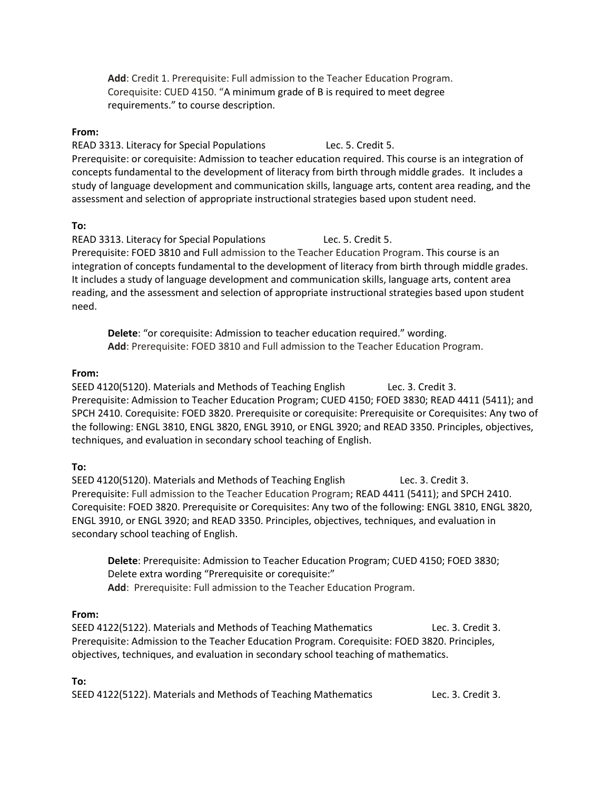**Add**: Credit 1. Prerequisite: Full admission to the Teacher Education Program. Corequisite: CUED 4150. "A minimum grade of B is required to meet degree requirements." to course description.

#### **From:**

READ 3313. Literacy for Special Populations Lec. 5. Credit 5. Prerequisite: or corequisite: Admission to teacher education required. This course is an integration of concepts fundamental to the development of literacy from birth through middle grades. It includes a study of language development and communication skills, language arts, content area reading, and the assessment and selection of appropriate instructional strategies based upon student need.

#### **To:**

READ 3313. Literacy for Special Populations Lec. 5. Credit 5. Prerequisite: FOED 3810 and Full admission to the Teacher Education Program. This course is an integration of concepts fundamental to the development of literacy from birth through middle grades. It includes a study of language development and communication skills, language arts, content area reading, and the assessment and selection of appropriate instructional strategies based upon student need.

**Delete**: "or corequisite: Admission to teacher education required." wording. **Add**: Prerequisite: FOED 3810 and Full admission to the Teacher Education Program.

#### **From:**

SEED 4120(5120). Materials and Methods of Teaching English Lec. 3. Credit 3. Prerequisite: Admission to Teacher Education Program; CUED 4150; FOED 3830; READ 4411 (5411); and SPCH 2410. Corequisite: FOED 3820. Prerequisite or corequisite: Prerequisite or Corequisites: Any two of the following: ENGL 3810, ENGL 3820, ENGL 3910, or ENGL 3920; and READ 3350. Principles, objectives, techniques, and evaluation in secondary school teaching of English.

#### **To:**

SEED 4120(5120). Materials and Methods of Teaching English Lec. 3. Credit 3. Prerequisite: Full admission to the Teacher Education Program; READ 4411 (5411); and SPCH 2410. Corequisite: FOED 3820. Prerequisite or Corequisites: Any two of the following: ENGL 3810, ENGL 3820, ENGL 3910, or ENGL 3920; and READ 3350. Principles, objectives, techniques, and evaluation in secondary school teaching of English.

**Delete**: Prerequisite: Admission to Teacher Education Program; CUED 4150; FOED 3830; Delete extra wording "Prerequisite or corequisite:" **Add**: Prerequisite: Full admission to the Teacher Education Program.

#### **From:**

SEED 4122(5122). Materials and Methods of Teaching Mathematics Lec. 3. Credit 3. Prerequisite: Admission to the Teacher Education Program. Corequisite: FOED 3820. Principles, objectives, techniques, and evaluation in secondary school teaching of mathematics.

#### **To:**

SEED 4122(5122). Materials and Methods of Teaching Mathematics Lec. 3. Credit 3.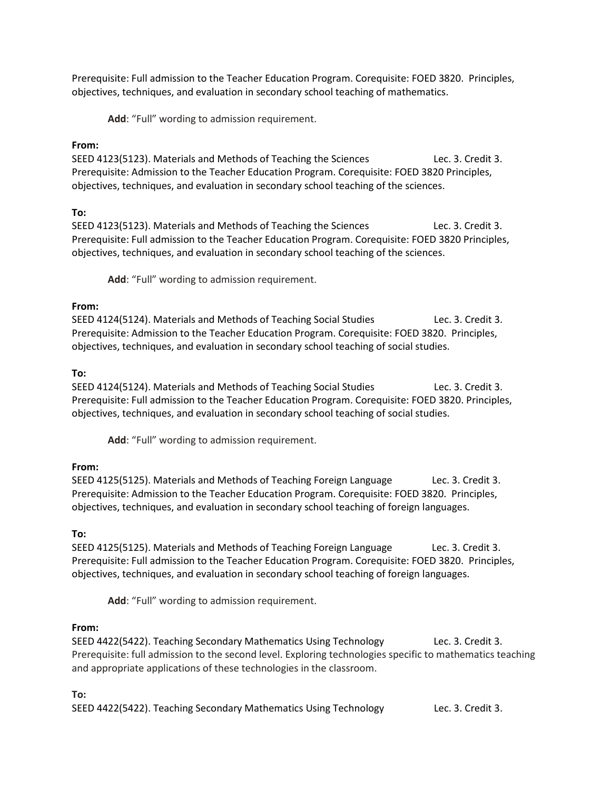Prerequisite: Full admission to the Teacher Education Program. Corequisite: FOED 3820. Principles, objectives, techniques, and evaluation in secondary school teaching of mathematics.

**Add**: "Full" wording to admission requirement.

## **From:**

SEED 4123(5123). Materials and Methods of Teaching the Sciences Lec. 3. Credit 3. Prerequisite: Admission to the Teacher Education Program. Corequisite: FOED 3820 Principles, objectives, techniques, and evaluation in secondary school teaching of the sciences.

## **To:**

SEED 4123(5123). Materials and Methods of Teaching the Sciences Lec. 3. Credit 3. Prerequisite: Full admission to the Teacher Education Program. Corequisite: FOED 3820 Principles, objectives, techniques, and evaluation in secondary school teaching of the sciences.

**Add**: "Full" wording to admission requirement.

## **From:**

SEED 4124(5124). Materials and Methods of Teaching Social Studies Lec. 3. Credit 3. Prerequisite: Admission to the Teacher Education Program. Corequisite: FOED 3820. Principles, objectives, techniques, and evaluation in secondary school teaching of social studies.

## **To:**

SEED 4124(5124). Materials and Methods of Teaching Social Studies Lec. 3. Credit 3. Prerequisite: Full admission to the Teacher Education Program. Corequisite: FOED 3820. Principles, objectives, techniques, and evaluation in secondary school teaching of social studies.

**Add**: "Full" wording to admission requirement.

## **From:**

SEED 4125(5125). Materials and Methods of Teaching Foreign Language Lec. 3. Credit 3. Prerequisite: Admission to the Teacher Education Program. Corequisite: FOED 3820. Principles, objectives, techniques, and evaluation in secondary school teaching of foreign languages.

#### **To:**

SEED 4125(5125). Materials and Methods of Teaching Foreign Language Lec. 3. Credit 3. Prerequisite: Full admission to the Teacher Education Program. Corequisite: FOED 3820. Principles, objectives, techniques, and evaluation in secondary school teaching of foreign languages.

**Add**: "Full" wording to admission requirement.

#### **From:**

SEED 4422(5422). Teaching Secondary Mathematics Using Technology Lec. 3. Credit 3. Prerequisite: full admission to the second level. Exploring technologies specific to mathematics teaching and appropriate applications of these technologies in the classroom.

#### **To:**

SEED 4422(5422). Teaching Secondary Mathematics Using Technology Lec. 3. Credit 3.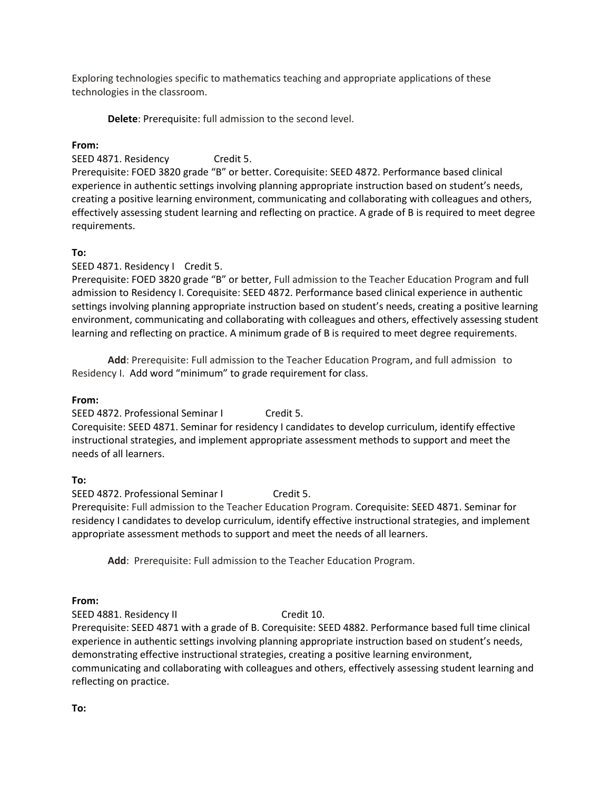Exploring technologies specific to mathematics teaching and appropriate applications of these technologies in the classroom.

**Delete**: Prerequisite: full admission to the second level.

## **From:**

SEED 4871. Residency Credit 5.

Prerequisite: FOED 3820 grade "B" or better. Corequisite: SEED 4872. Performance based clinical experience in authentic settings involving planning appropriate instruction based on student's needs, creating a positive learning environment, communicating and collaborating with colleagues and others, effectively assessing student learning and reflecting on practice. A grade of B is required to meet degree requirements.

## **To:**

SEED 4871. Residency I Credit 5.

Prerequisite: FOED 3820 grade "B" or better, Full admission to the Teacher Education Program and full admission to Residency I. Corequisite: SEED 4872. Performance based clinical experience in authentic settings involving planning appropriate instruction based on student's needs, creating a positive learning environment, communicating and collaborating with colleagues and others, effectively assessing student learning and reflecting on practice. A minimum grade of B is required to meet degree requirements.

**Add**: Prerequisite: Full admission to the Teacher Education Program, and full admission to Residency I. Add word "minimum" to grade requirement for class.

#### **From:**

SEED 4872. Professional Seminar I Credit 5. Corequisite: SEED 4871. Seminar for residency I candidates to develop curriculum, identify effective instructional strategies, and implement appropriate assessment methods to support and meet the needs of all learners.

#### **To:**

SEED 4872. Professional Seminar I Credit 5.

Prerequisite: Full admission to the Teacher Education Program. Corequisite: SEED 4871. Seminar for residency I candidates to develop curriculum, identify effective instructional strategies, and implement appropriate assessment methods to support and meet the needs of all learners.

**Add**: Prerequisite: Full admission to the Teacher Education Program.

#### **From:**

SEED 4881. Residency II Credit 10.

Prerequisite: SEED 4871 with a grade of B. Corequisite: SEED 4882. Performance based full time clinical experience in authentic settings involving planning appropriate instruction based on student's needs, demonstrating effective instructional strategies, creating a positive learning environment, communicating and collaborating with colleagues and others, effectively assessing student learning and reflecting on practice.

**To:**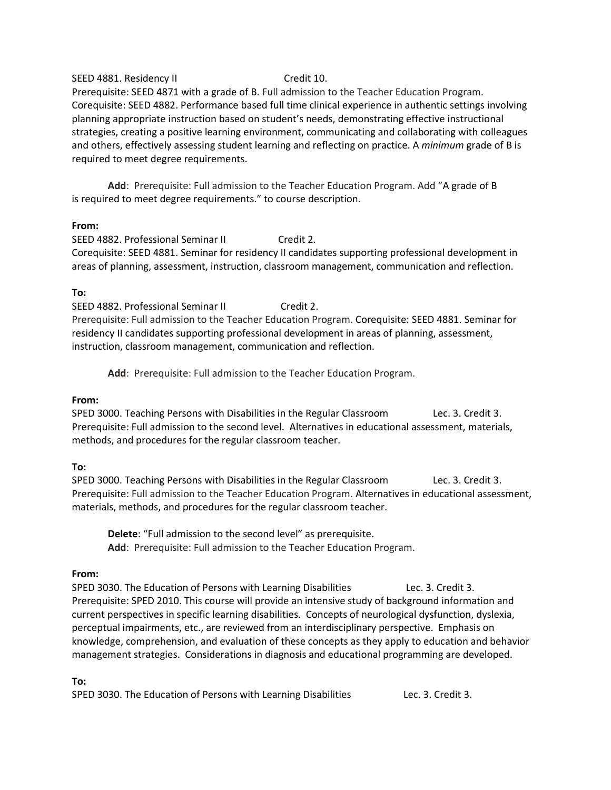#### SEED 4881. Residency II Credit 10.

Prerequisite: SEED 4871 with a grade of B. Full admission to the Teacher Education Program. Corequisite: SEED 4882. Performance based full time clinical experience in authentic settings involving planning appropriate instruction based on student's needs, demonstrating effective instructional strategies, creating a positive learning environment, communicating and collaborating with colleagues and others, effectively assessing student learning and reflecting on practice. A *minimum* grade of B is required to meet degree requirements.

**Add**: Prerequisite: Full admission to the Teacher Education Program. Add "A grade of B is required to meet degree requirements." to course description.

#### **From:**

SEED 4882. Professional Seminar II Credit 2. Corequisite: SEED 4881. Seminar for residency II candidates supporting professional development in areas of planning, assessment, instruction, classroom management, communication and reflection.

#### **To:**

SEED 4882. Professional Seminar II Credit 2. Prerequisite: Full admission to the Teacher Education Program. Corequisite: SEED 4881. Seminar for residency II candidates supporting professional development in areas of planning, assessment, instruction, classroom management, communication and reflection.

**Add**: Prerequisite: Full admission to the Teacher Education Program.

#### **From:**

SPED 3000. Teaching Persons with Disabilities in the Regular Classroom Lec. 3. Credit 3. Prerequisite: Full admission to the second level. Alternatives in educational assessment, materials, methods, and procedures for the regular classroom teacher.

#### **To:**

SPED 3000. Teaching Persons with Disabilities in the Regular Classroom Lec. 3. Credit 3. Prerequisite: Full admission to the Teacher Education Program. Alternatives in educational assessment, materials, methods, and procedures for the regular classroom teacher.

**Delete**: "Full admission to the second level" as prerequisite. **Add**: Prerequisite: Full admission to the Teacher Education Program.

#### **From:**

SPED 3030. The Education of Persons with Learning Disabilities Lec. 3. Credit 3. Prerequisite: SPED 2010. This course will provide an intensive study of background information and current perspectives in specific learning disabilities. Concepts of neurological dysfunction, dyslexia, perceptual impairments, etc., are reviewed from an interdisciplinary perspective. Emphasis on knowledge, comprehension, and evaluation of these concepts as they apply to education and behavior management strategies. Considerations in diagnosis and educational programming are developed.

#### **To:**

SPED 3030. The Education of Persons with Learning Disabilities Lec. 3. Credit 3.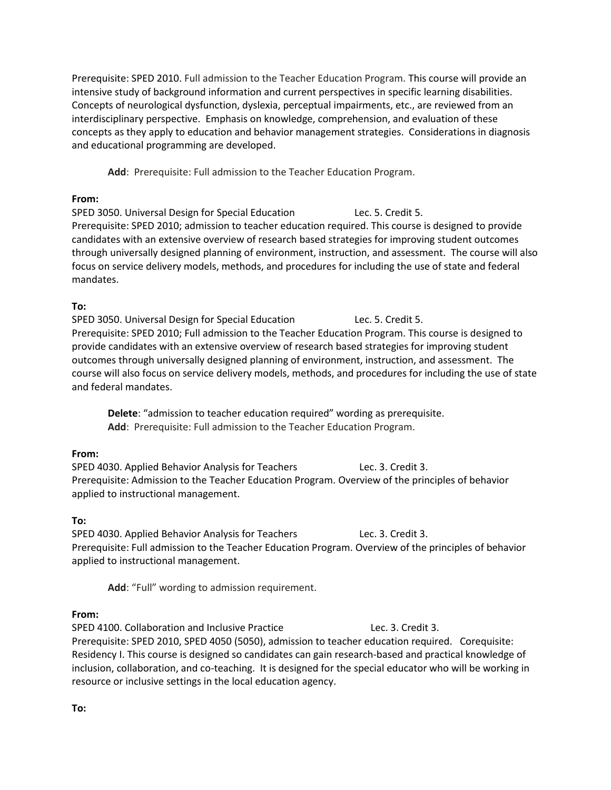Prerequisite: SPED 2010. Full admission to the Teacher Education Program. This course will provide an intensive study of background information and current perspectives in specific learning disabilities. Concepts of neurological dysfunction, dyslexia, perceptual impairments, etc., are reviewed from an interdisciplinary perspective. Emphasis on knowledge, comprehension, and evaluation of these concepts as they apply to education and behavior management strategies. Considerations in diagnosis and educational programming are developed.

**Add**: Prerequisite: Full admission to the Teacher Education Program.

### **From:**

SPED 3050. Universal Design for Special Education Lec. 5. Credit 5. Prerequisite: SPED 2010; admission to teacher education required. This course is designed to provide candidates with an extensive overview of research based strategies for improving student outcomes through universally designed planning of environment, instruction, and assessment. The course will also focus on service delivery models, methods, and procedures for including the use of state and federal mandates.

## **To:**

SPED 3050. Universal Design for Special Education Lec. 5. Credit 5. Prerequisite: SPED 2010; Full admission to the Teacher Education Program. This course is designed to provide candidates with an extensive overview of research based strategies for improving student outcomes through universally designed planning of environment, instruction, and assessment. The course will also focus on service delivery models, methods, and procedures for including the use of state and federal mandates.

**Delete**: "admission to teacher education required" wording as prerequisite. **Add**: Prerequisite: Full admission to the Teacher Education Program.

## **From:**

SPED 4030. Applied Behavior Analysis for Teachers Lec. 3. Credit 3. Prerequisite: Admission to the Teacher Education Program. Overview of the principles of behavior applied to instructional management.

## **To:**

SPED 4030. Applied Behavior Analysis for Teachers Lec. 3. Credit 3. Prerequisite: Full admission to the Teacher Education Program. Overview of the principles of behavior applied to instructional management.

**Add**: "Full" wording to admission requirement.

## **From:**

SPED 4100. Collaboration and Inclusive Practice Lec. 3. Credit 3. Prerequisite: SPED 2010, SPED 4050 (5050), admission to teacher education required. Corequisite: Residency I. This course is designed so candidates can gain research-based and practical knowledge of inclusion, collaboration, and co-teaching. It is designed for the special educator who will be working in resource or inclusive settings in the local education agency.

**To:**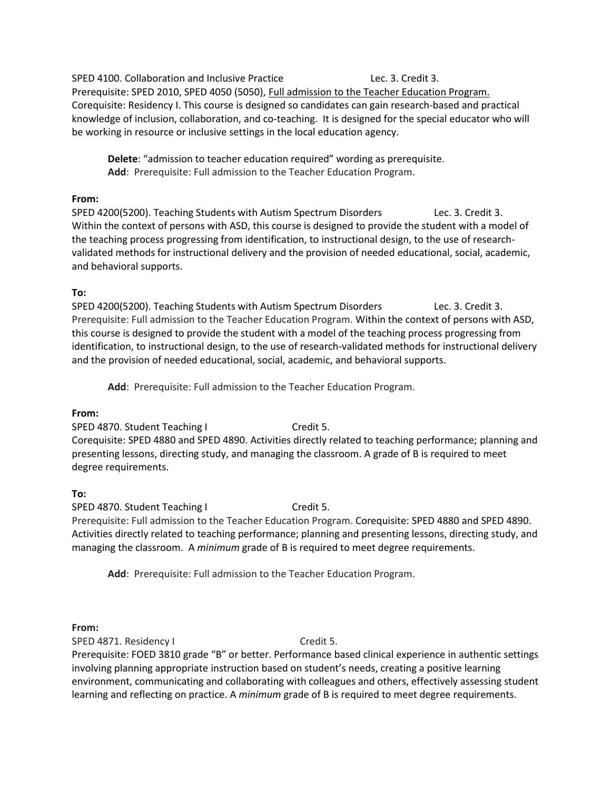SPED 4100. Collaboration and Inclusive Practice Lec. 3. Credit 3.

Prerequisite: SPED 2010, SPED 4050 (5050), Full admission to the Teacher Education Program. Corequisite: Residency I. This course is designed so candidates can gain research-based and practical knowledge of inclusion, collaboration, and co-teaching. It is designed for the special educator who will be working in resource or inclusive settings in the local education agency.

**Delete**: "admission to teacher education required" wording as prerequisite. **Add**: Prerequisite: Full admission to the Teacher Education Program.

## **From:**

SPED 4200(5200). Teaching Students with Autism Spectrum Disorders Lec. 3. Credit 3. Within the context of persons with ASD, this course is designed to provide the student with a model of the teaching process progressing from identification, to instructional design, to the use of researchvalidated methods for instructional delivery and the provision of needed educational, social, academic, and behavioral supports.

## **To:**

SPED 4200(5200). Teaching Students with Autism Spectrum Disorders Lec. 3. Credit 3. Prerequisite: Full admission to the Teacher Education Program. Within the context of persons with ASD, this course is designed to provide the student with a model of the teaching process progressing from identification, to instructional design, to the use of research-validated methods for instructional delivery and the provision of needed educational, social, academic, and behavioral supports.

**Add**: Prerequisite: Full admission to the Teacher Education Program.

#### **From:**

SPED 4870. Student Teaching I Credit 5. Corequisite: SPED 4880 and SPED 4890. Activities directly related to teaching performance; planning and presenting lessons, directing study, and managing the classroom. A grade of B is required to meet degree requirements.

## **To:**

SPED 4870. Student Teaching I Credit 5. Prerequisite: Full admission to the Teacher Education Program. Corequisite: SPED 4880 and SPED 4890. Activities directly related to teaching performance; planning and presenting lessons, directing study, and managing the classroom. A *minimum* grade of B is required to meet degree requirements.

**Add**: Prerequisite: Full admission to the Teacher Education Program.

#### **From:**

SPED 4871. Residency I Credit 5.

Prerequisite: FOED 3810 grade "B" or better. Performance based clinical experience in authentic settings involving planning appropriate instruction based on student's needs, creating a positive learning environment, communicating and collaborating with colleagues and others, effectively assessing student learning and reflecting on practice. A *minimum* grade of B is required to meet degree requirements.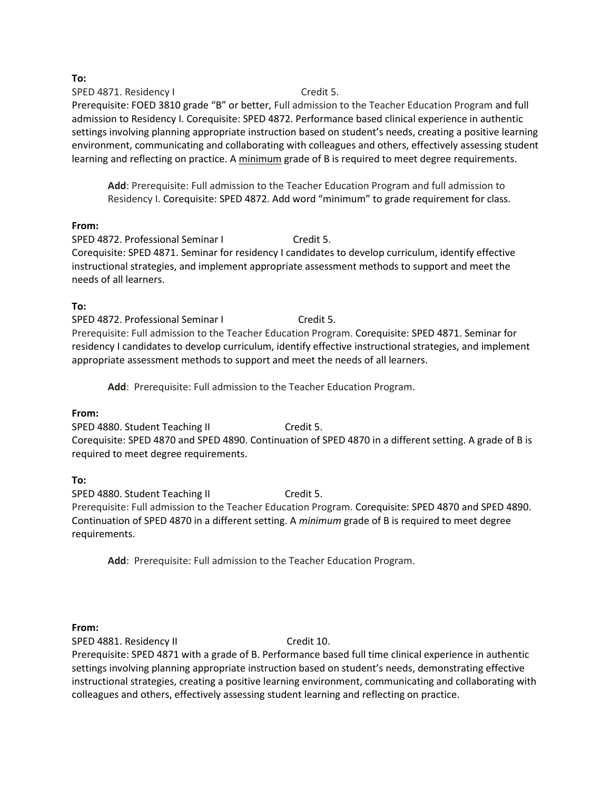**To:**

SPED 4871. Residency I Credit 5. Prerequisite: FOED 3810 grade "B" or better, Full admission to the Teacher Education Program and full admission to Residency I. Corequisite: SPED 4872. Performance based clinical experience in authentic settings involving planning appropriate instruction based on student's needs, creating a positive learning environment, communicating and collaborating with colleagues and others, effectively assessing student learning and reflecting on practice. A minimum grade of B is required to meet degree requirements.

**Add**: Prerequisite: Full admission to the Teacher Education Program and full admission to Residency I. Corequisite: SPED 4872. Add word "minimum" to grade requirement for class.

## **From:**

SPED 4872. Professional Seminar I Credit 5. Corequisite: SPED 4871. Seminar for residency I candidates to develop curriculum, identify effective instructional strategies, and implement appropriate assessment methods to support and meet the needs of all learners.

## **To:**

SPED 4872. Professional Seminar I Credit 5. Prerequisite: Full admission to the Teacher Education Program. Corequisite: SPED 4871. Seminar for residency I candidates to develop curriculum, identify effective instructional strategies, and implement appropriate assessment methods to support and meet the needs of all learners.

**Add**: Prerequisite: Full admission to the Teacher Education Program.

## **From:**

SPED 4880. Student Teaching II Credit 5. Corequisite: SPED 4870 and SPED 4890. Continuation of SPED 4870 in a different setting. A grade of B is required to meet degree requirements.

## **To:**

SPED 4880. Student Teaching II Credit 5. Prerequisite: Full admission to the Teacher Education Program. Corequisite: SPED 4870 and SPED 4890. Continuation of SPED 4870 in a different setting. A *minimum* grade of B is required to meet degree requirements.

**Add**: Prerequisite: Full admission to the Teacher Education Program.

## **From:**

SPED 4881. Residency II Credit 10.

Prerequisite: SPED 4871 with a grade of B. Performance based full time clinical experience in authentic settings involving planning appropriate instruction based on student's needs, demonstrating effective instructional strategies, creating a positive learning environment, communicating and collaborating with colleagues and others, effectively assessing student learning and reflecting on practice.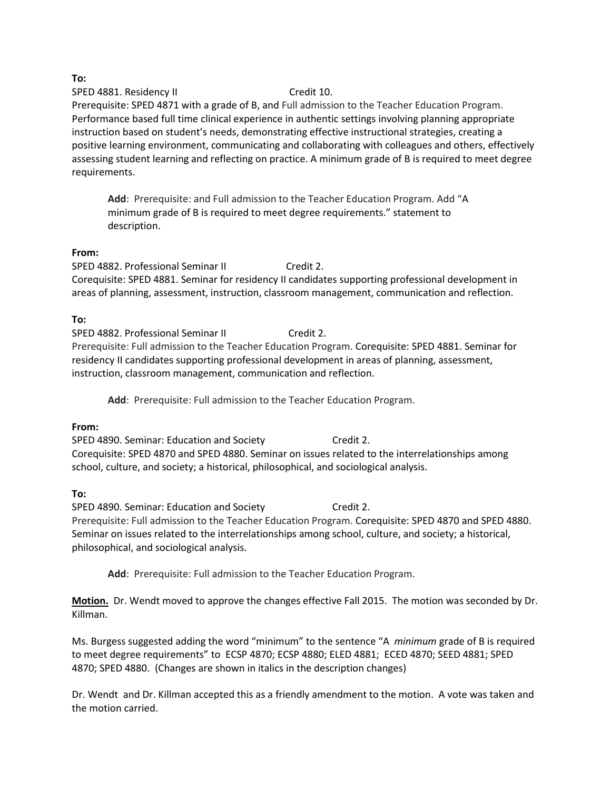**To:**

SPED 4881. Residency II Credit 10.

Prerequisite: SPED 4871 with a grade of B, and Full admission to the Teacher Education Program. Performance based full time clinical experience in authentic settings involving planning appropriate instruction based on student's needs, demonstrating effective instructional strategies, creating a positive learning environment, communicating and collaborating with colleagues and others, effectively assessing student learning and reflecting on practice. A minimum grade of B is required to meet degree requirements.

**Add**: Prerequisite: and Full admission to the Teacher Education Program. Add "A minimum grade of B is required to meet degree requirements." statement to description.

#### **From:**

SPED 4882. Professional Seminar II Credit 2. Corequisite: SPED 4881. Seminar for residency II candidates supporting professional development in areas of planning, assessment, instruction, classroom management, communication and reflection.

## **To:**

SPED 4882. Professional Seminar II Credit 2. Prerequisite: Full admission to the Teacher Education Program. Corequisite: SPED 4881. Seminar for residency II candidates supporting professional development in areas of planning, assessment, instruction, classroom management, communication and reflection.

**Add**: Prerequisite: Full admission to the Teacher Education Program.

## **From:**

SPED 4890. Seminar: Education and Society Credit 2. Corequisite: SPED 4870 and SPED 4880. Seminar on issues related to the interrelationships among school, culture, and society; a historical, philosophical, and sociological analysis.

## **To:**

SPED 4890. Seminar: Education and Society Credit 2. Prerequisite: Full admission to the Teacher Education Program. Corequisite: SPED 4870 and SPED 4880. Seminar on issues related to the interrelationships among school, culture, and society; a historical, philosophical, and sociological analysis.

**Add**: Prerequisite: Full admission to the Teacher Education Program.

**Motion.** Dr. Wendt moved to approve the changes effective Fall 2015. The motion was seconded by Dr. Killman.

Ms. Burgess suggested adding the word "minimum" to the sentence "A *minimum* grade of B is required to meet degree requirements" to ECSP 4870; ECSP 4880; ELED 4881; ECED 4870; SEED 4881; SPED 4870; SPED 4880. (Changes are shown in italics in the description changes)

Dr. Wendt and Dr. Killman accepted this as a friendly amendment to the motion. A vote was taken and the motion carried.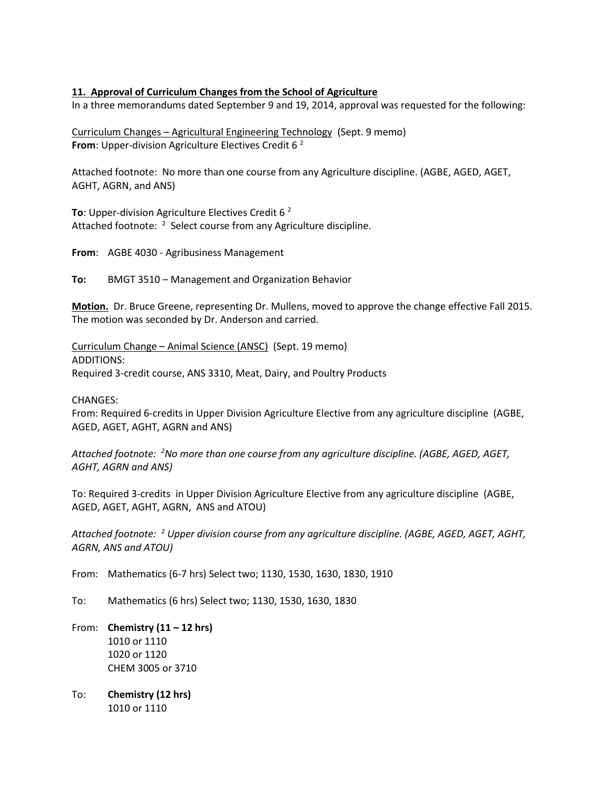#### **11. Approval of Curriculum Changes from the School of Agriculture**

In a three memorandums dated September 9 and 19, 2014, approval was requested for the following:

Curriculum Changes – Agricultural Engineering Technology (Sept. 9 memo) **From:** Upper-division Agriculture Electives Credit 6<sup>2</sup>

Attached footnote: No more than one course from any Agriculture discipline. (AGBE, AGED, AGET, AGHT, AGRN, and ANS)

**To**: Upper-division Agriculture Electives Credit 6 <sup>2</sup> Attached footnote: <sup>2</sup> Select course from any Agriculture discipline.

**From**: AGBE 4030 - Agribusiness Management

**To:** BMGT 3510 – Management and Organization Behavior

**Motion.** Dr. Bruce Greene, representing Dr. Mullens, moved to approve the change effective Fall 2015. The motion was seconded by Dr. Anderson and carried.

Curriculum Change – Animal Science (ANSC) (Sept. 19 memo) ADDITIONS: Required 3-credit course, ANS 3310, Meat, Dairy, and Poultry Products

CHANGES:

From: Required 6-credits in Upper Division Agriculture Elective from any agriculture discipline (AGBE, AGED, AGET, AGHT, AGRN and ANS)

*Attached footnote: <sup>2</sup>No more than one course from any agriculture discipline. (AGBE, AGED, AGET, AGHT, AGRN and ANS)*

To: Required 3-credits in Upper Division Agriculture Elective from any agriculture discipline (AGBE, AGED, AGET, AGHT, AGRN, ANS and ATOU)

*Attached footnote: <sup>2</sup> Upper division course from any agriculture discipline. (AGBE, AGED, AGET, AGHT, AGRN, ANS and ATOU)*

From: Mathematics (6-7 hrs) Select two; 1130, 1530, 1630, 1830, 1910

- To: Mathematics (6 hrs) Select two; 1130, 1530, 1630, 1830
- From: **Chemistry (11 – 12 hrs)** 1010 or 1110 1020 or 1120 CHEM 3005 or 3710
- To: **Chemistry (12 hrs)** 1010 or 1110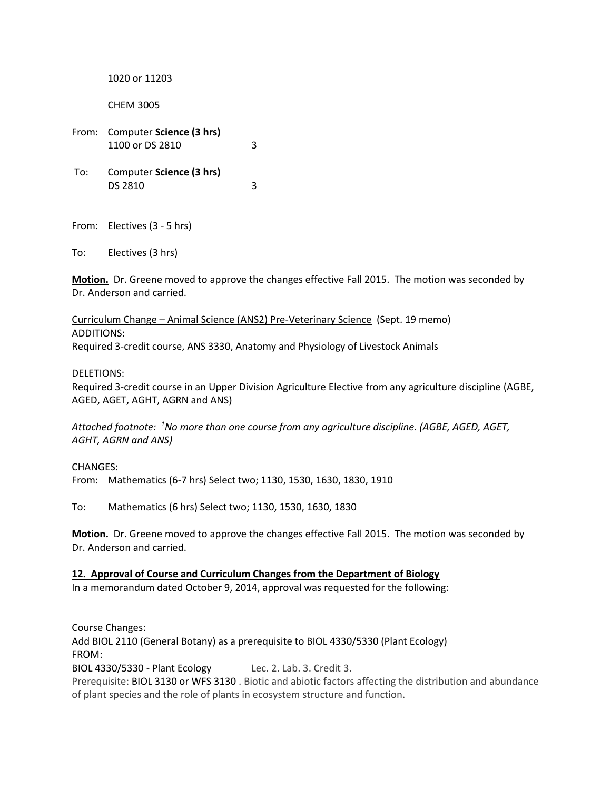1020 or 11203

CHEM 3005

From: Computer **Science (3 hrs)** 1100 or DS 2810 3 To: Computer **Science (3 hrs)** DS 2810 3

From: Electives (3 - 5 hrs)

To: Electives (3 hrs)

**Motion.** Dr. Greene moved to approve the changes effective Fall 2015. The motion was seconded by Dr. Anderson and carried.

Curriculum Change – Animal Science (ANS2) Pre-Veterinary Science (Sept. 19 memo) ADDITIONS: Required 3-credit course, ANS 3330, Anatomy and Physiology of Livestock Animals

DELETIONS:

Required 3-credit course in an Upper Division Agriculture Elective from any agriculture discipline (AGBE, AGED, AGET, AGHT, AGRN and ANS)

*Attached footnote: <sup>1</sup>No more than one course from any agriculture discipline. (AGBE, AGED, AGET, AGHT, AGRN and ANS)*

CHANGES:

From: Mathematics (6-7 hrs) Select two; 1130, 1530, 1630, 1830, 1910

To: Mathematics (6 hrs) Select two; 1130, 1530, 1630, 1830

**Motion.** Dr. Greene moved to approve the changes effective Fall 2015. The motion was seconded by Dr. Anderson and carried.

**12. Approval of Course and Curriculum Changes from the Department of Biology** In a memorandum dated October 9, 2014, approval was requested for the following:

Course Changes:

Add BIOL 2110 (General Botany) as a prerequisite to BIOL 4330/5330 (Plant Ecology) FROM:

BIOL 4330/5330 - Plant Ecology Lec. 2. Lab. 3. Credit 3.

Prerequisite: [BIOL 3130](http://catalog.tntech.edu/content.php?filter%5B27%5D=BIOL&filter%5B29%5D=&filter%5Bcourse_type%5D=-1&filter%5Bkeyword%5D=&filter%5B32%5D=1&filter%5Bcpage%5D=1&cur_cat_oid=16&expand=&navoid=3028&search_database=Filter&filter%5Bexact_match%5D=1#tt5364) or [WFS 3130](http://catalog.tntech.edu/content.php?filter%5B27%5D=BIOL&filter%5B29%5D=&filter%5Bcourse_type%5D=-1&filter%5Bkeyword%5D=&filter%5B32%5D=1&filter%5Bcpage%5D=1&cur_cat_oid=16&expand=&navoid=3028&search_database=Filter&filter%5Bexact_match%5D=1#tt316) . Biotic and abiotic factors affecting the distribution and abundance of plant species and the role of plants in ecosystem structure and function.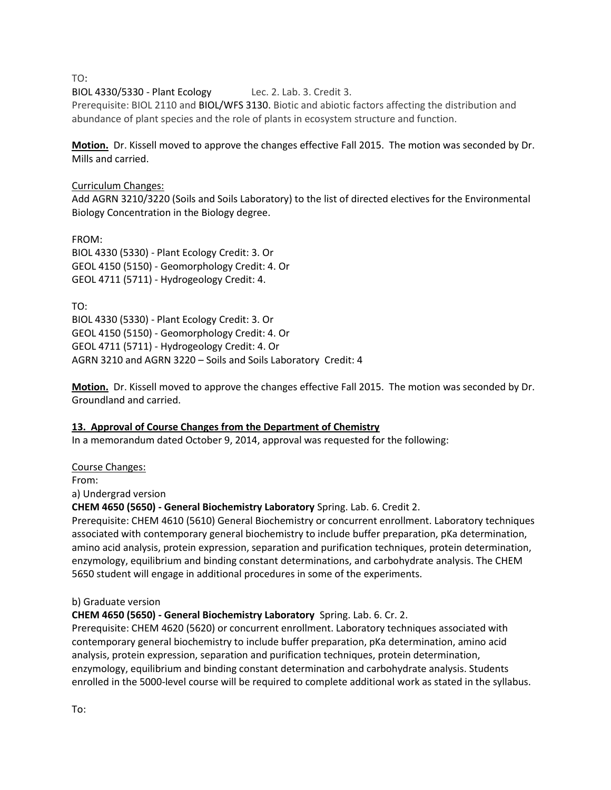TO:

BIOL 4330/5330 - Plant Ecology Lec. 2. Lab. 3. Credit 3.

Prerequisite: BIOL 2110 and [BIOL/WFS 3130.](http://catalog.tntech.edu/content.php?filter%5B27%5D=BIOL&filter%5B29%5D=&filter%5Bcourse_type%5D=-1&filter%5Bkeyword%5D=&filter%5B32%5D=1&filter%5Bcpage%5D=1&cur_cat_oid=16&expand=&navoid=3028&search_database=Filter&filter%5Bexact_match%5D=1#tt5364) Biotic and abiotic factors affecting the distribution and abundance of plant species and the role of plants in ecosystem structure and function.

**Motion.** Dr. Kissell moved to approve the changes effective Fall 2015. The motion was seconded by Dr. Mills and carried.

## Curriculum Changes:

Add AGRN 3210/3220 (Soils and Soils Laboratory) to the list of directed electives for the Environmental Biology Concentration in the Biology degree.

FROM: [BIOL 4330 \(5330\) -](http://catalog.tntech.edu/preview_program.php?catoid=16&poid=1714&returnto=2881) Plant Ecology Credit: 3. Or [GEOL 4150 \(5150\) -](http://catalog.tntech.edu/preview_program.php?catoid=16&poid=1714&returnto=2881) Geomorphology Credit: 4. Or [GEOL 4711 \(5711\) -](http://catalog.tntech.edu/preview_program.php?catoid=16&poid=1714&returnto=2881) Hydrogeology Credit: 4.

TO: [BIOL 4330 \(5330\) -](http://catalog.tntech.edu/preview_program.php?catoid=16&poid=1714&returnto=2881) Plant Ecology Credit: 3. Or [GEOL 4150 \(5150\) -](http://catalog.tntech.edu/preview_program.php?catoid=16&poid=1714&returnto=2881) Geomorphology Credit: 4. Or [GEOL 4711 \(5711\) -](http://catalog.tntech.edu/preview_program.php?catoid=16&poid=1714&returnto=2881) Hydrogeology Credit: 4. Or AGRN 3210 and AGRN 3220 – Soils and Soils Laboratory Credit: 4

**Motion.** Dr. Kissell moved to approve the changes effective Fall 2015. The motion was seconded by Dr. Groundland and carried.

## **13. Approval of Course Changes from the Department of Chemistry**

In a memorandum dated October 9, 2014, approval was requested for the following:

Course Changes:

From:

a) Undergrad version

**CHEM 4650 (5650) - General Biochemistry Laboratory** Spring. Lab. 6. Credit 2.

Prerequisite: CHEM 4610 (5610) General Biochemistry or concurrent enrollment. Laboratory techniques associated with contemporary general biochemistry to include buffer preparation, pKa determination, amino acid analysis, protein expression, separation and purification techniques, protein determination, enzymology, equilibrium and binding constant determinations, and carbohydrate analysis. The CHEM 5650 student will engage in additional procedures in some of the experiments.

#### b) Graduate version

## **CHEM 4650 (5650) - General Biochemistry Laboratory** Spring. Lab. 6. Cr. 2.

Prerequisite: CHEM 4620 (5620) or concurrent enrollment. Laboratory techniques associated with contemporary general biochemistry to include buffer preparation, pKa determination, amino acid analysis, protein expression, separation and purification techniques, protein determination, enzymology, equilibrium and binding constant determination and carbohydrate analysis. Students enrolled in the 5000-level course will be required to complete additional work as stated in the syllabus.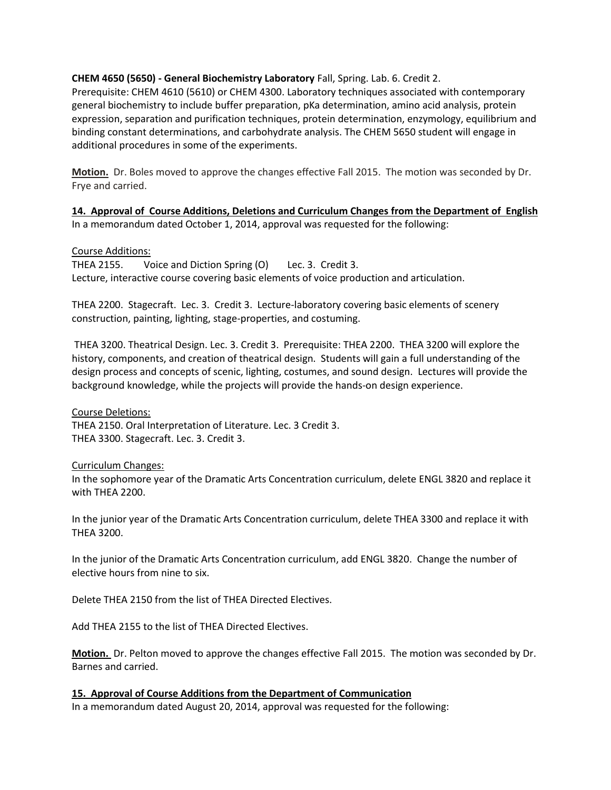#### **CHEM 4650 (5650) - General Biochemistry Laboratory** Fall, Spring. Lab. 6. Credit 2.

Prerequisite: CHEM 4610 (5610) or CHEM 4300. Laboratory techniques associated with contemporary general biochemistry to include buffer preparation, pKa determination, amino acid analysis, protein expression, separation and purification techniques, protein determination, enzymology, equilibrium and binding constant determinations, and carbohydrate analysis. The CHEM 5650 student will engage in additional procedures in some of the experiments.

**Motion.** Dr. Boles moved to approve the changes effective Fall 2015. The motion was seconded by Dr. Frye and carried.

**14. Approval of Course Additions, Deletions and Curriculum Changes from the Department of English** In a memorandum dated October 1, 2014, approval was requested for the following:

#### Course Additions:

THEA 2155. Voice and Diction Spring (O) Lec. 3. Credit 3. Lecture, interactive course covering basic elements of voice production and articulation.

THEA 2200. Stagecraft. Lec. 3. Credit 3. Lecture-laboratory covering basic elements of scenery construction, painting, lighting, stage-properties, and costuming.

THEA 3200. Theatrical Design. Lec. 3. Credit 3. Prerequisite: THEA 2200. THEA 3200 will explore the history, components, and creation of theatrical design. Students will gain a full understanding of the design process and concepts of scenic, lighting, costumes, and sound design. Lectures will provide the background knowledge, while the projects will provide the hands-on design experience.

Course Deletions: THEA 2150. Oral Interpretation of Literature. Lec. 3 Credit 3. THEA 3300. Stagecraft. Lec. 3. Credit 3.

#### Curriculum Changes:

In the sophomore year of the Dramatic Arts Concentration curriculum, delete ENGL 3820 and replace it with THEA 2200.

In the junior year of the Dramatic Arts Concentration curriculum, delete THEA 3300 and replace it with THEA 3200.

In the junior of the Dramatic Arts Concentration curriculum, add ENGL 3820. Change the number of elective hours from nine to six.

Delete THEA 2150 from the list of THEA Directed Electives.

Add THEA 2155 to the list of THEA Directed Electives.

**Motion.** Dr. Pelton moved to approve the changes effective Fall 2015. The motion was seconded by Dr. Barnes and carried.

**15. Approval of Course Additions from the Department of Communication**

In a memorandum dated August 20, 2014, approval was requested for the following: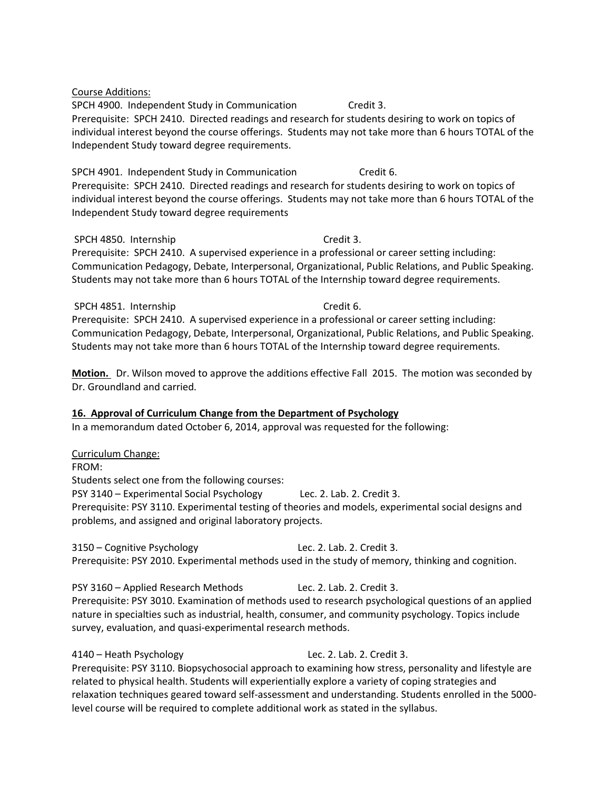Course Additions:

SPCH 4900. Independent Study in Communication Credit 3. Prerequisite: SPCH 2410. Directed readings and research for students desiring to work on topics of individual interest beyond the course offerings. Students may not take more than 6 hours TOTAL of the Independent Study toward degree requirements.

SPCH 4901. Independent Study in Communication Credit 6. Prerequisite: SPCH 2410. Directed readings and research for students desiring to work on topics of individual interest beyond the course offerings. Students may not take more than 6 hours TOTAL of the Independent Study toward degree requirements

#### SPCH 4850. Internship Credit 3.

Prerequisite: SPCH 2410. A supervised experience in a professional or career setting including: Communication Pedagogy, Debate, Interpersonal, Organizational, Public Relations, and Public Speaking. Students may not take more than 6 hours TOTAL of the Internship toward degree requirements.

SPCH 4851. Internship Credit 6. Prerequisite: SPCH 2410. A supervised experience in a professional or career setting including: Communication Pedagogy, Debate, Interpersonal, Organizational, Public Relations, and Public Speaking. Students may not take more than 6 hours TOTAL of the Internship toward degree requirements.

**Motion.** Dr. Wilson moved to approve the additions effective Fall 2015. The motion was seconded by Dr. Groundland and carried.

## **16. Approval of Curriculum Change from the Department of Psychology**

In a memorandum dated October 6, 2014, approval was requested for the following:

## Curriculum Change:

FROM:

Students select one from the following courses:

PSY 3140 – Experimental Social Psychology Lec. 2. Lab. 2. Credit 3.

Prerequisite: PSY 3110. Experimental testing of theories and models, experimental social designs and problems, and assigned and original laboratory projects.

3150 – Cognitive Psychology Lec. 2. Lab. 2. Credit 3. Prerequisite: PSY 2010. Experimental methods used in the study of memory, thinking and cognition.

PSY 3160 – Applied Research Methods Lec. 2. Lab. 2. Credit 3. Prerequisite: PSY 3010. Examination of methods used to research psychological questions of an applied nature in specialties such as industrial, health, consumer, and community psychology. Topics include survey, evaluation, and quasi-experimental research methods.

4140 – Heath Psychology Lec. 2. Lab. 2. Credit 3. Prerequisite: PSY 3110. Biopsychosocial approach to examining how stress, personality and lifestyle are related to physical health. Students will experientially explore a variety of coping strategies and relaxation techniques geared toward self-assessment and understanding. Students enrolled in the 5000 level course will be required to complete additional work as stated in the syllabus.